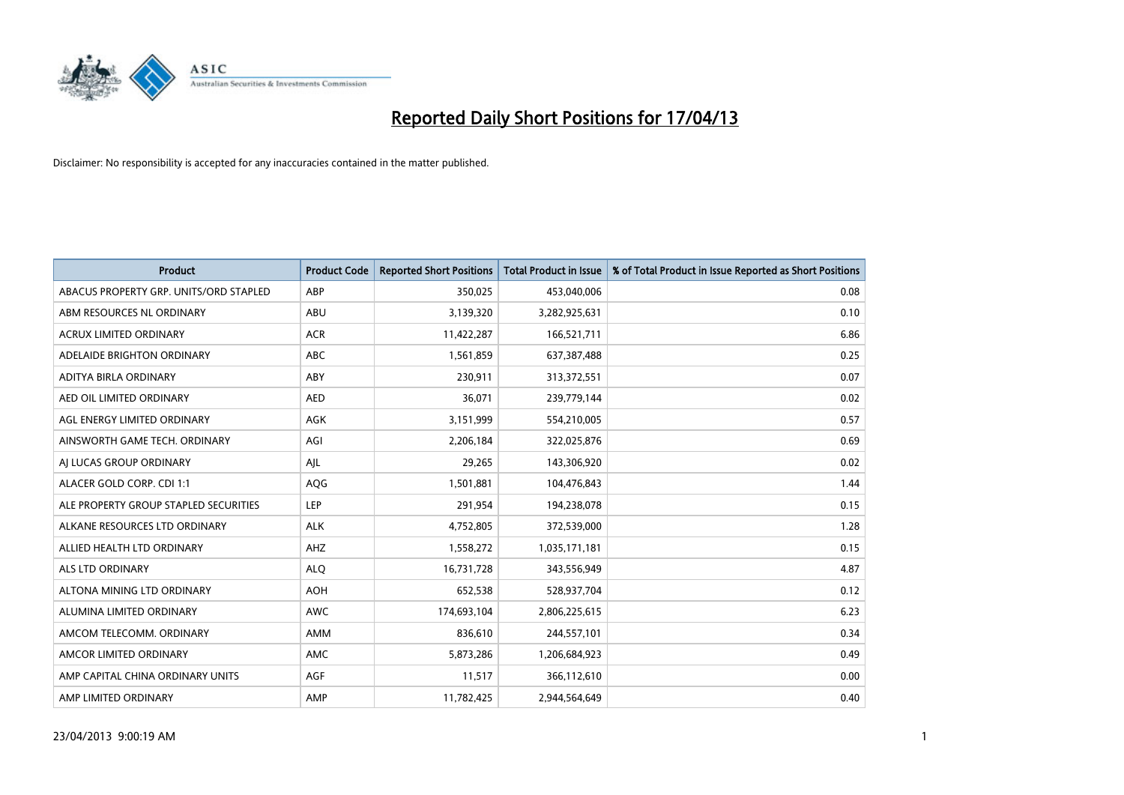

| <b>Product</b>                         | <b>Product Code</b> | <b>Reported Short Positions</b> | <b>Total Product in Issue</b> | % of Total Product in Issue Reported as Short Positions |
|----------------------------------------|---------------------|---------------------------------|-------------------------------|---------------------------------------------------------|
| ABACUS PROPERTY GRP. UNITS/ORD STAPLED | ABP                 | 350,025                         | 453,040,006                   | 0.08                                                    |
| ABM RESOURCES NL ORDINARY              | ABU                 | 3,139,320                       | 3,282,925,631                 | 0.10                                                    |
| <b>ACRUX LIMITED ORDINARY</b>          | <b>ACR</b>          | 11,422,287                      | 166,521,711                   | 6.86                                                    |
| ADELAIDE BRIGHTON ORDINARY             | <b>ABC</b>          | 1,561,859                       | 637,387,488                   | 0.25                                                    |
| ADITYA BIRLA ORDINARY                  | ABY                 | 230,911                         | 313,372,551                   | 0.07                                                    |
| AED OIL LIMITED ORDINARY               | <b>AED</b>          | 36,071                          | 239,779,144                   | 0.02                                                    |
| AGL ENERGY LIMITED ORDINARY            | AGK                 | 3,151,999                       | 554,210,005                   | 0.57                                                    |
| AINSWORTH GAME TECH. ORDINARY          | AGI                 | 2,206,184                       | 322,025,876                   | 0.69                                                    |
| AI LUCAS GROUP ORDINARY                | AJL                 | 29,265                          | 143,306,920                   | 0.02                                                    |
| ALACER GOLD CORP. CDI 1:1              | AQG                 | 1,501,881                       | 104,476,843                   | 1.44                                                    |
| ALE PROPERTY GROUP STAPLED SECURITIES  | <b>LEP</b>          | 291,954                         | 194,238,078                   | 0.15                                                    |
| ALKANE RESOURCES LTD ORDINARY          | <b>ALK</b>          | 4,752,805                       | 372,539,000                   | 1.28                                                    |
| ALLIED HEALTH LTD ORDINARY             | AHZ                 | 1,558,272                       | 1,035,171,181                 | 0.15                                                    |
| <b>ALS LTD ORDINARY</b>                | <b>ALO</b>          | 16,731,728                      | 343,556,949                   | 4.87                                                    |
| ALTONA MINING LTD ORDINARY             | <b>AOH</b>          | 652,538                         | 528,937,704                   | 0.12                                                    |
| ALUMINA LIMITED ORDINARY               | <b>AWC</b>          | 174,693,104                     | 2,806,225,615                 | 6.23                                                    |
| AMCOM TELECOMM. ORDINARY               | AMM                 | 836,610                         | 244,557,101                   | 0.34                                                    |
| AMCOR LIMITED ORDINARY                 | <b>AMC</b>          | 5,873,286                       | 1,206,684,923                 | 0.49                                                    |
| AMP CAPITAL CHINA ORDINARY UNITS       | AGF                 | 11,517                          | 366,112,610                   | 0.00                                                    |
| AMP LIMITED ORDINARY                   | AMP                 | 11,782,425                      | 2,944,564,649                 | 0.40                                                    |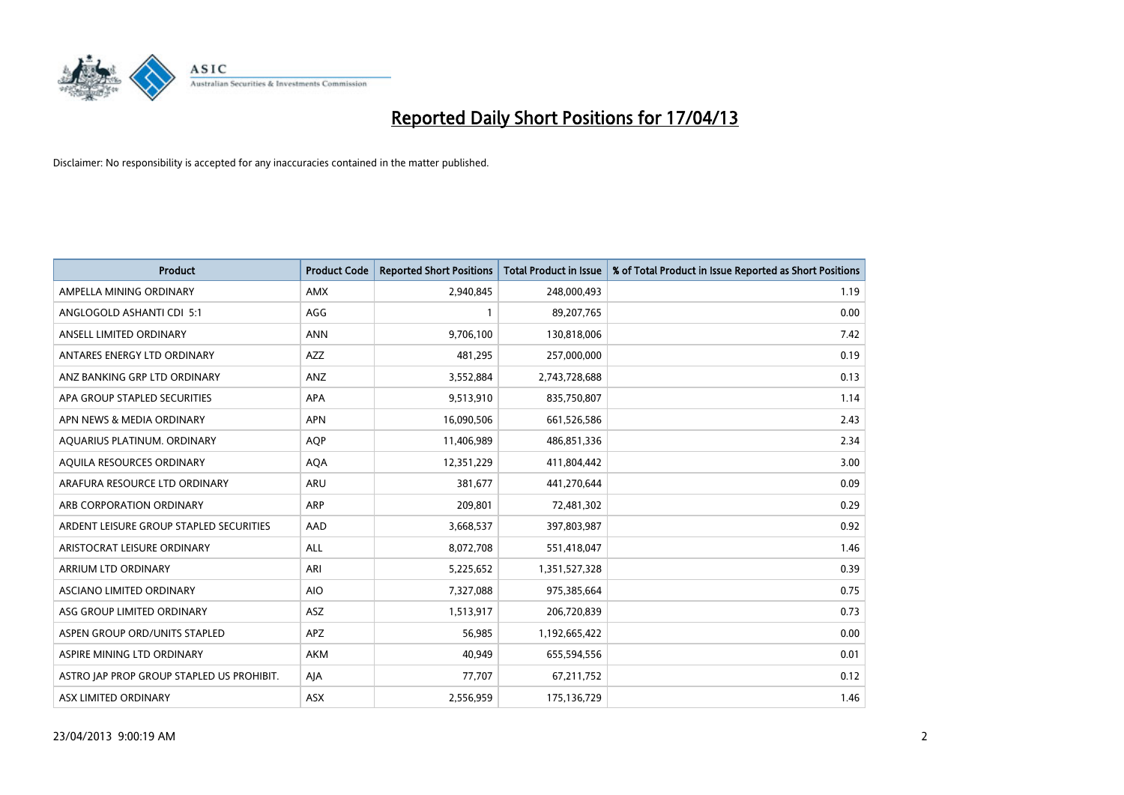

| <b>Product</b>                            | <b>Product Code</b> | <b>Reported Short Positions</b> | <b>Total Product in Issue</b> | % of Total Product in Issue Reported as Short Positions |
|-------------------------------------------|---------------------|---------------------------------|-------------------------------|---------------------------------------------------------|
| AMPELLA MINING ORDINARY                   | AMX                 | 2,940,845                       | 248,000,493                   | 1.19                                                    |
| ANGLOGOLD ASHANTI CDI 5:1                 | AGG                 | $\mathbf{1}$                    | 89,207,765                    | 0.00                                                    |
| ANSELL LIMITED ORDINARY                   | <b>ANN</b>          | 9,706,100                       | 130,818,006                   | 7.42                                                    |
| ANTARES ENERGY LTD ORDINARY               | AZZ                 | 481,295                         | 257,000,000                   | 0.19                                                    |
| ANZ BANKING GRP LTD ORDINARY              | ANZ                 | 3,552,884                       | 2,743,728,688                 | 0.13                                                    |
| APA GROUP STAPLED SECURITIES              | APA                 | 9,513,910                       | 835,750,807                   | 1.14                                                    |
| APN NEWS & MEDIA ORDINARY                 | <b>APN</b>          | 16,090,506                      | 661,526,586                   | 2.43                                                    |
| AQUARIUS PLATINUM. ORDINARY               | <b>AOP</b>          | 11,406,989                      | 486,851,336                   | 2.34                                                    |
| AQUILA RESOURCES ORDINARY                 | <b>AQA</b>          | 12,351,229                      | 411,804,442                   | 3.00                                                    |
| ARAFURA RESOURCE LTD ORDINARY             | ARU                 | 381,677                         | 441,270,644                   | 0.09                                                    |
| ARB CORPORATION ORDINARY                  | ARP                 | 209,801                         | 72,481,302                    | 0.29                                                    |
| ARDENT LEISURE GROUP STAPLED SECURITIES   | AAD                 | 3,668,537                       | 397,803,987                   | 0.92                                                    |
| ARISTOCRAT LEISURE ORDINARY               | ALL                 | 8,072,708                       | 551,418,047                   | 1.46                                                    |
| ARRIUM LTD ORDINARY                       | ARI                 | 5,225,652                       | 1,351,527,328                 | 0.39                                                    |
| ASCIANO LIMITED ORDINARY                  | <b>AIO</b>          | 7,327,088                       | 975,385,664                   | 0.75                                                    |
| ASG GROUP LIMITED ORDINARY                | <b>ASZ</b>          | 1,513,917                       | 206,720,839                   | 0.73                                                    |
| ASPEN GROUP ORD/UNITS STAPLED             | APZ                 | 56,985                          | 1,192,665,422                 | 0.00                                                    |
| ASPIRE MINING LTD ORDINARY                | <b>AKM</b>          | 40,949                          | 655,594,556                   | 0.01                                                    |
| ASTRO JAP PROP GROUP STAPLED US PROHIBIT. | AJA                 | 77,707                          | 67,211,752                    | 0.12                                                    |
| ASX LIMITED ORDINARY                      | ASX                 | 2,556,959                       | 175,136,729                   | 1.46                                                    |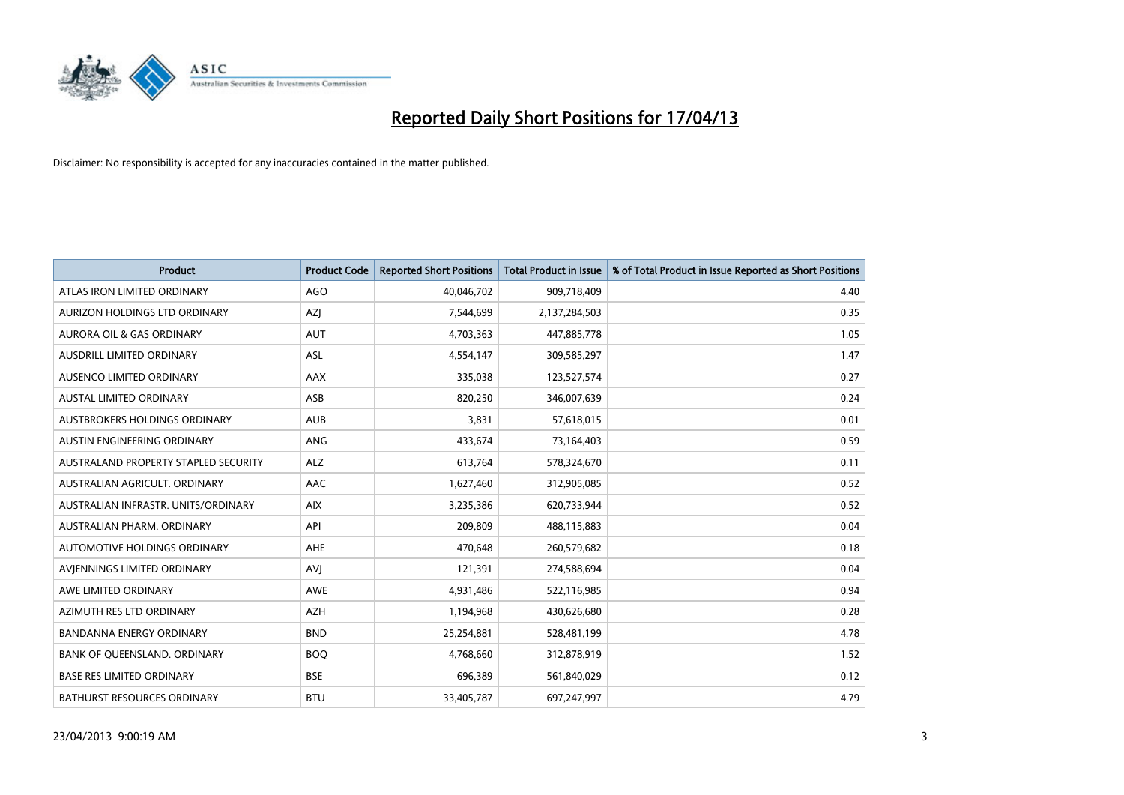

| Product                              | <b>Product Code</b> | <b>Reported Short Positions</b> | <b>Total Product in Issue</b> | % of Total Product in Issue Reported as Short Positions |
|--------------------------------------|---------------------|---------------------------------|-------------------------------|---------------------------------------------------------|
| ATLAS IRON LIMITED ORDINARY          | AGO                 | 40,046,702                      | 909,718,409                   | 4.40                                                    |
| AURIZON HOLDINGS LTD ORDINARY        | AZI                 | 7,544,699                       | 2,137,284,503                 | 0.35                                                    |
| <b>AURORA OIL &amp; GAS ORDINARY</b> | <b>AUT</b>          | 4,703,363                       | 447,885,778                   | 1.05                                                    |
| AUSDRILL LIMITED ORDINARY            | ASL                 | 4,554,147                       | 309,585,297                   | 1.47                                                    |
| AUSENCO LIMITED ORDINARY             | AAX                 | 335,038                         | 123,527,574                   | 0.27                                                    |
| <b>AUSTAL LIMITED ORDINARY</b>       | ASB                 | 820,250                         | 346,007,639                   | 0.24                                                    |
| AUSTBROKERS HOLDINGS ORDINARY        | <b>AUB</b>          | 3,831                           | 57,618,015                    | 0.01                                                    |
| <b>AUSTIN ENGINEERING ORDINARY</b>   | ANG                 | 433,674                         | 73,164,403                    | 0.59                                                    |
| AUSTRALAND PROPERTY STAPLED SECURITY | <b>ALZ</b>          | 613,764                         | 578,324,670                   | 0.11                                                    |
| AUSTRALIAN AGRICULT, ORDINARY        | AAC                 | 1,627,460                       | 312,905,085                   | 0.52                                                    |
| AUSTRALIAN INFRASTR. UNITS/ORDINARY  | <b>AIX</b>          | 3,235,386                       | 620,733,944                   | 0.52                                                    |
| AUSTRALIAN PHARM, ORDINARY           | API                 | 209,809                         | 488,115,883                   | 0.04                                                    |
| AUTOMOTIVE HOLDINGS ORDINARY         | AHE                 | 470,648                         | 260,579,682                   | 0.18                                                    |
| AVIENNINGS LIMITED ORDINARY          | <b>AVI</b>          | 121,391                         | 274,588,694                   | 0.04                                                    |
| AWE LIMITED ORDINARY                 | AWE                 | 4,931,486                       | 522,116,985                   | 0.94                                                    |
| AZIMUTH RES LTD ORDINARY             | <b>AZH</b>          | 1,194,968                       | 430,626,680                   | 0.28                                                    |
| BANDANNA ENERGY ORDINARY             | <b>BND</b>          | 25,254,881                      | 528,481,199                   | 4.78                                                    |
| BANK OF QUEENSLAND. ORDINARY         | <b>BOQ</b>          | 4,768,660                       | 312,878,919                   | 1.52                                                    |
| <b>BASE RES LIMITED ORDINARY</b>     | <b>BSE</b>          | 696,389                         | 561,840,029                   | 0.12                                                    |
| BATHURST RESOURCES ORDINARY          | <b>BTU</b>          | 33,405,787                      | 697,247,997                   | 4.79                                                    |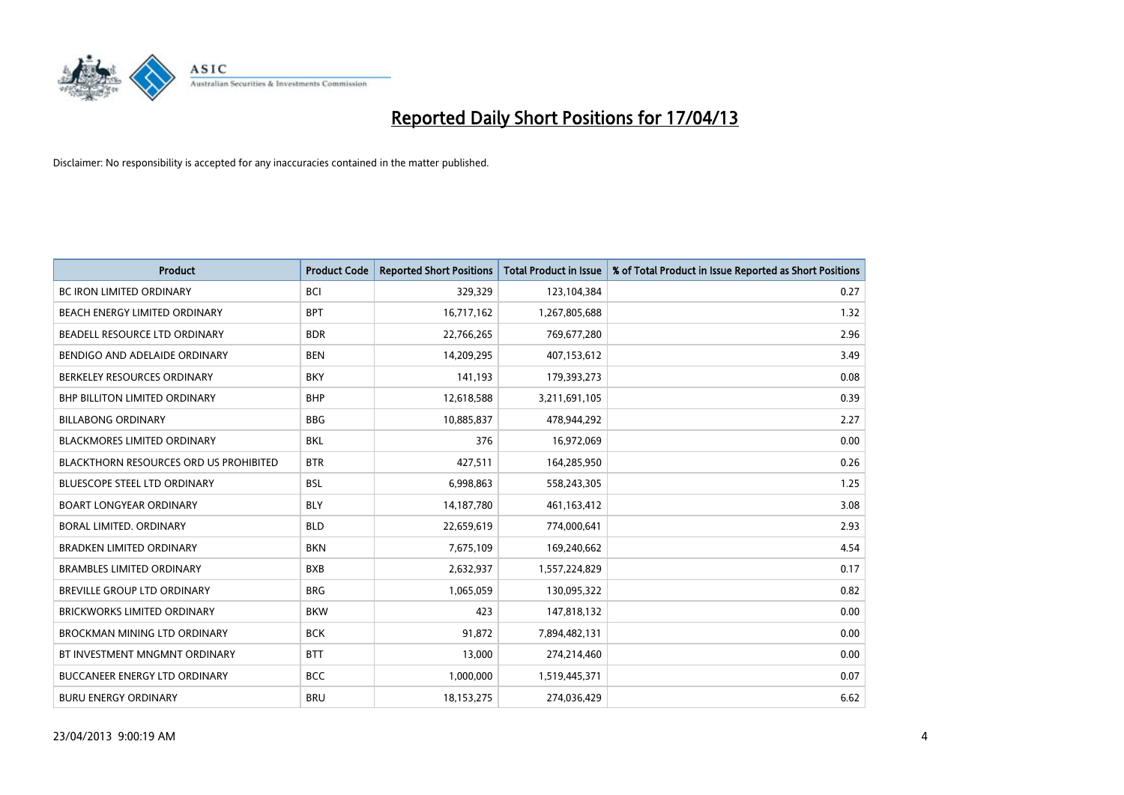

| <b>Product</b>                                | <b>Product Code</b> | <b>Reported Short Positions</b> | <b>Total Product in Issue</b> | % of Total Product in Issue Reported as Short Positions |
|-----------------------------------------------|---------------------|---------------------------------|-------------------------------|---------------------------------------------------------|
| <b>BC IRON LIMITED ORDINARY</b>               | <b>BCI</b>          | 329,329                         | 123,104,384                   | 0.27                                                    |
| BEACH ENERGY LIMITED ORDINARY                 | <b>BPT</b>          | 16,717,162                      | 1,267,805,688                 | 1.32                                                    |
| BEADELL RESOURCE LTD ORDINARY                 | <b>BDR</b>          | 22,766,265                      | 769,677,280                   | 2.96                                                    |
| BENDIGO AND ADELAIDE ORDINARY                 | <b>BEN</b>          | 14,209,295                      | 407,153,612                   | 3.49                                                    |
| BERKELEY RESOURCES ORDINARY                   | <b>BKY</b>          | 141,193                         | 179,393,273                   | 0.08                                                    |
| BHP BILLITON LIMITED ORDINARY                 | <b>BHP</b>          | 12,618,588                      | 3,211,691,105                 | 0.39                                                    |
| <b>BILLABONG ORDINARY</b>                     | <b>BBG</b>          | 10,885,837                      | 478,944,292                   | 2.27                                                    |
| BLACKMORES LIMITED ORDINARY                   | <b>BKL</b>          | 376                             | 16,972,069                    | 0.00                                                    |
| <b>BLACKTHORN RESOURCES ORD US PROHIBITED</b> | <b>BTR</b>          | 427,511                         | 164,285,950                   | 0.26                                                    |
| <b>BLUESCOPE STEEL LTD ORDINARY</b>           | <b>BSL</b>          | 6,998,863                       | 558,243,305                   | 1.25                                                    |
| <b>BOART LONGYEAR ORDINARY</b>                | <b>BLY</b>          | 14,187,780                      | 461,163,412                   | 3.08                                                    |
| <b>BORAL LIMITED, ORDINARY</b>                | <b>BLD</b>          | 22,659,619                      | 774,000,641                   | 2.93                                                    |
| <b>BRADKEN LIMITED ORDINARY</b>               | <b>BKN</b>          | 7,675,109                       | 169,240,662                   | 4.54                                                    |
| <b>BRAMBLES LIMITED ORDINARY</b>              | <b>BXB</b>          | 2,632,937                       | 1,557,224,829                 | 0.17                                                    |
| BREVILLE GROUP LTD ORDINARY                   | <b>BRG</b>          | 1,065,059                       | 130,095,322                   | 0.82                                                    |
| BRICKWORKS LIMITED ORDINARY                   | <b>BKW</b>          | 423                             | 147,818,132                   | 0.00                                                    |
| BROCKMAN MINING LTD ORDINARY                  | <b>BCK</b>          | 91,872                          | 7,894,482,131                 | 0.00                                                    |
| BT INVESTMENT MNGMNT ORDINARY                 | <b>BTT</b>          | 13,000                          | 274,214,460                   | 0.00                                                    |
| <b>BUCCANEER ENERGY LTD ORDINARY</b>          | <b>BCC</b>          | 1,000,000                       | 1,519,445,371                 | 0.07                                                    |
| <b>BURU ENERGY ORDINARY</b>                   | <b>BRU</b>          | 18, 153, 275                    | 274,036,429                   | 6.62                                                    |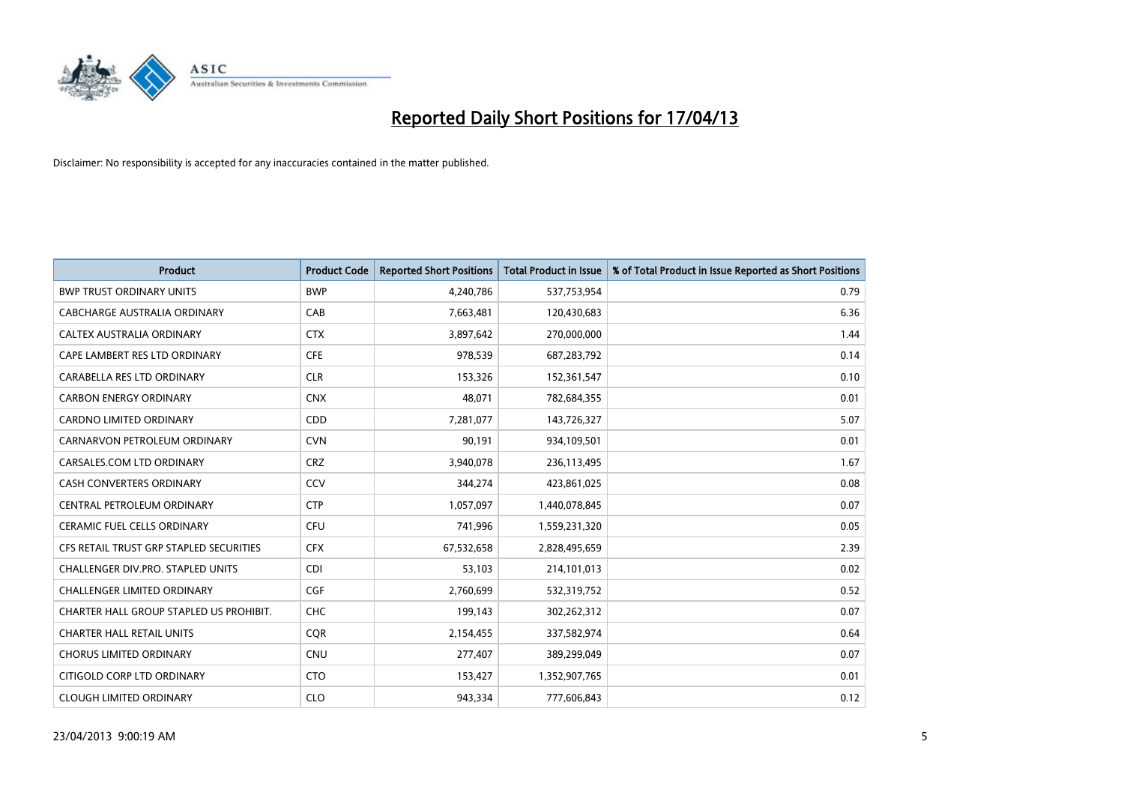

| <b>Product</b>                          | <b>Product Code</b> | <b>Reported Short Positions</b> | <b>Total Product in Issue</b> | % of Total Product in Issue Reported as Short Positions |
|-----------------------------------------|---------------------|---------------------------------|-------------------------------|---------------------------------------------------------|
| <b>BWP TRUST ORDINARY UNITS</b>         | <b>BWP</b>          | 4,240,786                       | 537,753,954                   | 0.79                                                    |
| CABCHARGE AUSTRALIA ORDINARY            | CAB                 | 7,663,481                       | 120,430,683                   | 6.36                                                    |
| <b>CALTEX AUSTRALIA ORDINARY</b>        | <b>CTX</b>          | 3,897,642                       | 270,000,000                   | 1.44                                                    |
| CAPE LAMBERT RES LTD ORDINARY           | <b>CFE</b>          | 978,539                         | 687,283,792                   | 0.14                                                    |
| CARABELLA RES LTD ORDINARY              | <b>CLR</b>          | 153,326                         | 152,361,547                   | 0.10                                                    |
| <b>CARBON ENERGY ORDINARY</b>           | <b>CNX</b>          | 48,071                          | 782,684,355                   | 0.01                                                    |
| <b>CARDNO LIMITED ORDINARY</b>          | CDD                 | 7,281,077                       | 143,726,327                   | 5.07                                                    |
| CARNARVON PETROLEUM ORDINARY            | <b>CVN</b>          | 90,191                          | 934,109,501                   | 0.01                                                    |
| CARSALES.COM LTD ORDINARY               | <b>CRZ</b>          | 3,940,078                       | 236,113,495                   | 1.67                                                    |
| <b>CASH CONVERTERS ORDINARY</b>         | CCV                 | 344,274                         | 423,861,025                   | 0.08                                                    |
| CENTRAL PETROLEUM ORDINARY              | <b>CTP</b>          | 1,057,097                       | 1,440,078,845                 | 0.07                                                    |
| <b>CERAMIC FUEL CELLS ORDINARY</b>      | <b>CFU</b>          | 741,996                         | 1,559,231,320                 | 0.05                                                    |
| CFS RETAIL TRUST GRP STAPLED SECURITIES | <b>CFX</b>          | 67,532,658                      | 2,828,495,659                 | 2.39                                                    |
| CHALLENGER DIV.PRO. STAPLED UNITS       | <b>CDI</b>          | 53,103                          | 214,101,013                   | 0.02                                                    |
| <b>CHALLENGER LIMITED ORDINARY</b>      | <b>CGF</b>          | 2,760,699                       | 532,319,752                   | 0.52                                                    |
| CHARTER HALL GROUP STAPLED US PROHIBIT. | <b>CHC</b>          | 199,143                         | 302,262,312                   | 0.07                                                    |
| <b>CHARTER HALL RETAIL UNITS</b>        | <b>CQR</b>          | 2,154,455                       | 337,582,974                   | 0.64                                                    |
| <b>CHORUS LIMITED ORDINARY</b>          | <b>CNU</b>          | 277,407                         | 389,299,049                   | 0.07                                                    |
| CITIGOLD CORP LTD ORDINARY              | <b>CTO</b>          | 153,427                         | 1,352,907,765                 | 0.01                                                    |
| <b>CLOUGH LIMITED ORDINARY</b>          | <b>CLO</b>          | 943,334                         | 777,606,843                   | 0.12                                                    |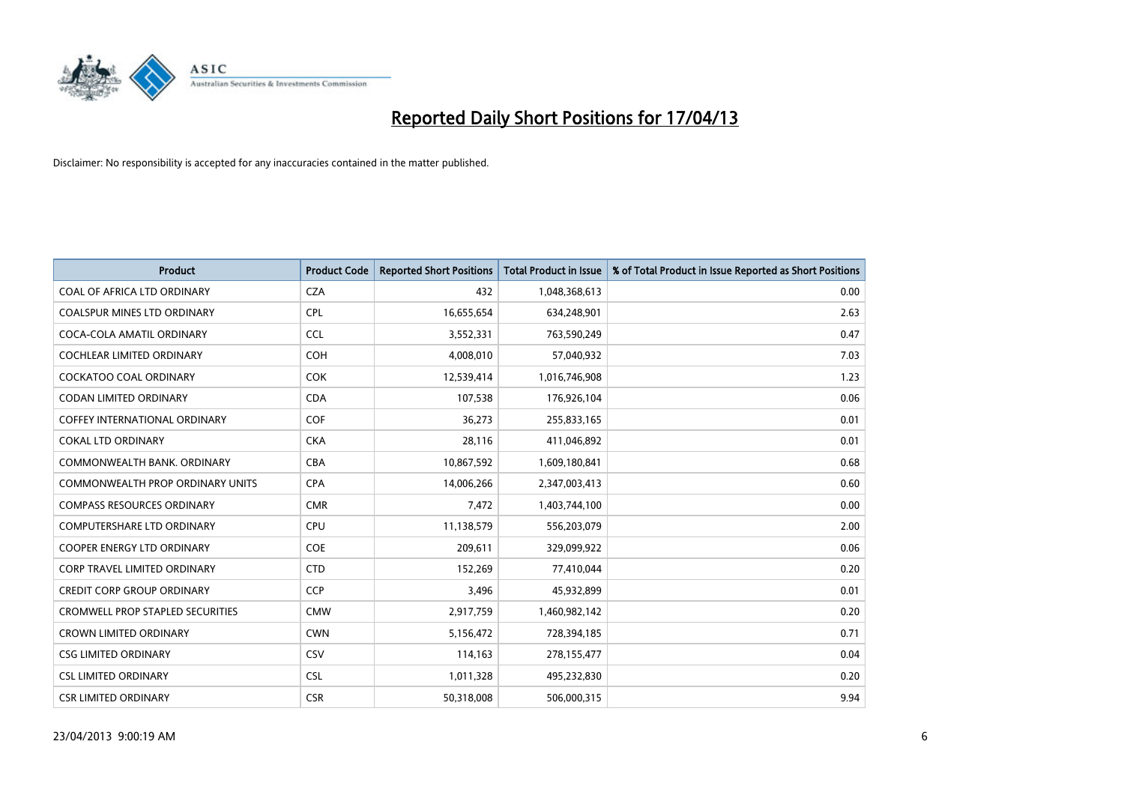

| <b>Product</b>                          | <b>Product Code</b> | <b>Reported Short Positions</b> | <b>Total Product in Issue</b> | % of Total Product in Issue Reported as Short Positions |
|-----------------------------------------|---------------------|---------------------------------|-------------------------------|---------------------------------------------------------|
| COAL OF AFRICA LTD ORDINARY             | <b>CZA</b>          | 432                             | 1,048,368,613                 | 0.00                                                    |
| COALSPUR MINES LTD ORDINARY             | <b>CPL</b>          | 16,655,654                      | 634,248,901                   | 2.63                                                    |
| COCA-COLA AMATIL ORDINARY               | <b>CCL</b>          | 3,552,331                       | 763,590,249                   | 0.47                                                    |
| <b>COCHLEAR LIMITED ORDINARY</b>        | <b>COH</b>          | 4,008,010                       | 57,040,932                    | 7.03                                                    |
| <b>COCKATOO COAL ORDINARY</b>           | <b>COK</b>          | 12,539,414                      | 1,016,746,908                 | 1.23                                                    |
| <b>CODAN LIMITED ORDINARY</b>           | <b>CDA</b>          | 107,538                         | 176,926,104                   | 0.06                                                    |
| <b>COFFEY INTERNATIONAL ORDINARY</b>    | <b>COF</b>          | 36,273                          | 255,833,165                   | 0.01                                                    |
| <b>COKAL LTD ORDINARY</b>               | <b>CKA</b>          | 28,116                          | 411,046,892                   | 0.01                                                    |
| COMMONWEALTH BANK, ORDINARY             | <b>CBA</b>          | 10,867,592                      | 1,609,180,841                 | 0.68                                                    |
| <b>COMMONWEALTH PROP ORDINARY UNITS</b> | <b>CPA</b>          | 14,006,266                      | 2,347,003,413                 | 0.60                                                    |
| <b>COMPASS RESOURCES ORDINARY</b>       | <b>CMR</b>          | 7,472                           | 1,403,744,100                 | 0.00                                                    |
| <b>COMPUTERSHARE LTD ORDINARY</b>       | <b>CPU</b>          | 11,138,579                      | 556,203,079                   | 2.00                                                    |
| <b>COOPER ENERGY LTD ORDINARY</b>       | <b>COE</b>          | 209,611                         | 329,099,922                   | 0.06                                                    |
| CORP TRAVEL LIMITED ORDINARY            | <b>CTD</b>          | 152,269                         | 77,410,044                    | 0.20                                                    |
| <b>CREDIT CORP GROUP ORDINARY</b>       | <b>CCP</b>          | 3,496                           | 45,932,899                    | 0.01                                                    |
| <b>CROMWELL PROP STAPLED SECURITIES</b> | <b>CMW</b>          | 2,917,759                       | 1,460,982,142                 | 0.20                                                    |
| <b>CROWN LIMITED ORDINARY</b>           | <b>CWN</b>          | 5,156,472                       | 728,394,185                   | 0.71                                                    |
| <b>CSG LIMITED ORDINARY</b>             | CSV                 | 114,163                         | 278,155,477                   | 0.04                                                    |
| <b>CSL LIMITED ORDINARY</b>             | <b>CSL</b>          | 1,011,328                       | 495,232,830                   | 0.20                                                    |
| <b>CSR LIMITED ORDINARY</b>             | <b>CSR</b>          | 50,318,008                      | 506,000,315                   | 9.94                                                    |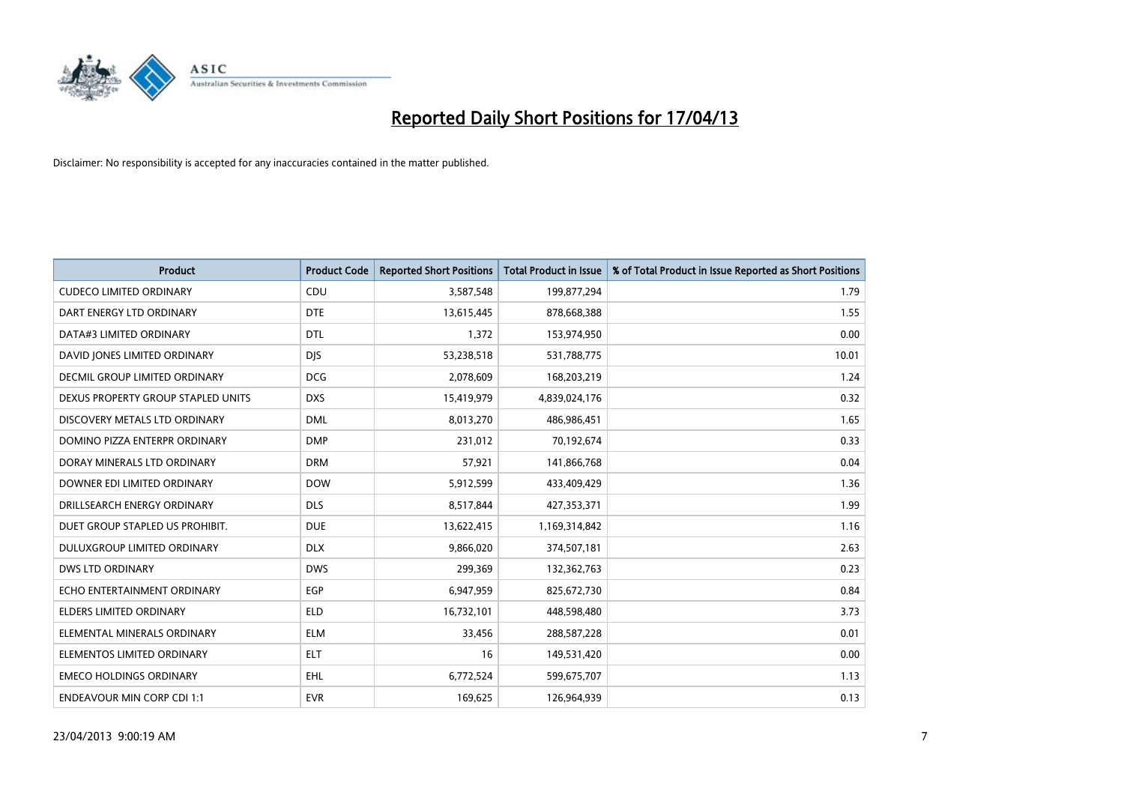

| <b>Product</b>                     | <b>Product Code</b> | <b>Reported Short Positions</b> | <b>Total Product in Issue</b> | % of Total Product in Issue Reported as Short Positions |
|------------------------------------|---------------------|---------------------------------|-------------------------------|---------------------------------------------------------|
| <b>CUDECO LIMITED ORDINARY</b>     | CDU                 | 3,587,548                       | 199,877,294                   | 1.79                                                    |
| DART ENERGY LTD ORDINARY           | <b>DTE</b>          | 13,615,445                      | 878,668,388                   | 1.55                                                    |
| DATA#3 LIMITED ORDINARY            | <b>DTL</b>          | 1,372                           | 153,974,950                   | 0.00                                                    |
| DAVID JONES LIMITED ORDINARY       | <b>DJS</b>          | 53,238,518                      | 531,788,775                   | 10.01                                                   |
| DECMIL GROUP LIMITED ORDINARY      | <b>DCG</b>          | 2,078,609                       | 168,203,219                   | 1.24                                                    |
| DEXUS PROPERTY GROUP STAPLED UNITS | <b>DXS</b>          | 15,419,979                      | 4,839,024,176                 | 0.32                                                    |
| DISCOVERY METALS LTD ORDINARY      | <b>DML</b>          | 8,013,270                       | 486,986,451                   | 1.65                                                    |
| DOMINO PIZZA ENTERPR ORDINARY      | <b>DMP</b>          | 231,012                         | 70,192,674                    | 0.33                                                    |
| DORAY MINERALS LTD ORDINARY        | <b>DRM</b>          | 57,921                          | 141,866,768                   | 0.04                                                    |
| DOWNER EDI LIMITED ORDINARY        | <b>DOW</b>          | 5,912,599                       | 433,409,429                   | 1.36                                                    |
| DRILLSEARCH ENERGY ORDINARY        | <b>DLS</b>          | 8,517,844                       | 427,353,371                   | 1.99                                                    |
| DUET GROUP STAPLED US PROHIBIT.    | <b>DUE</b>          | 13,622,415                      | 1,169,314,842                 | 1.16                                                    |
| DULUXGROUP LIMITED ORDINARY        | <b>DLX</b>          | 9,866,020                       | 374,507,181                   | 2.63                                                    |
| <b>DWS LTD ORDINARY</b>            | <b>DWS</b>          | 299,369                         | 132,362,763                   | 0.23                                                    |
| ECHO ENTERTAINMENT ORDINARY        | <b>EGP</b>          | 6,947,959                       | 825,672,730                   | 0.84                                                    |
| ELDERS LIMITED ORDINARY            | <b>ELD</b>          | 16,732,101                      | 448,598,480                   | 3.73                                                    |
| ELEMENTAL MINERALS ORDINARY        | <b>ELM</b>          | 33,456                          | 288,587,228                   | 0.01                                                    |
| ELEMENTOS LIMITED ORDINARY         | <b>ELT</b>          | 16                              | 149,531,420                   | 0.00                                                    |
| <b>EMECO HOLDINGS ORDINARY</b>     | <b>EHL</b>          | 6,772,524                       | 599,675,707                   | 1.13                                                    |
| <b>ENDEAVOUR MIN CORP CDI 1:1</b>  | <b>EVR</b>          | 169,625                         | 126,964,939                   | 0.13                                                    |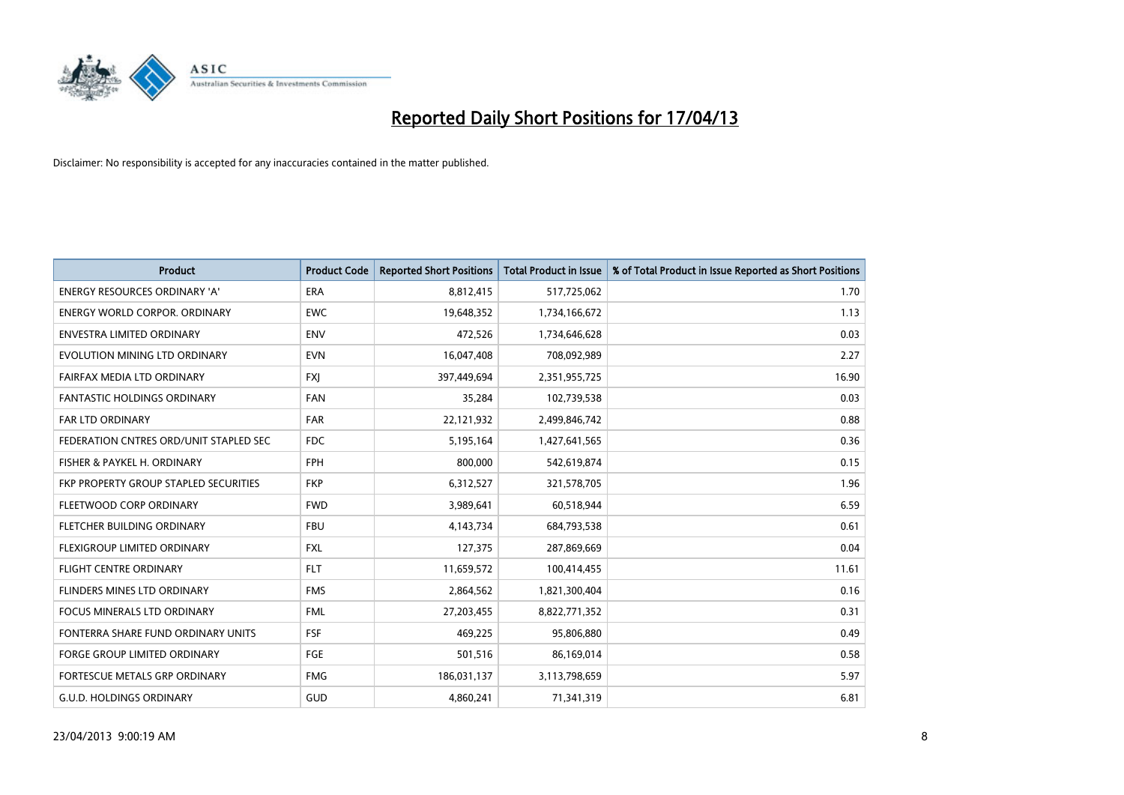

| <b>Product</b>                         | <b>Product Code</b> | <b>Reported Short Positions</b> | <b>Total Product in Issue</b> | % of Total Product in Issue Reported as Short Positions |
|----------------------------------------|---------------------|---------------------------------|-------------------------------|---------------------------------------------------------|
| <b>ENERGY RESOURCES ORDINARY 'A'</b>   | <b>ERA</b>          | 8,812,415                       | 517,725,062                   | 1.70                                                    |
| ENERGY WORLD CORPOR. ORDINARY          | <b>EWC</b>          | 19,648,352                      | 1,734,166,672                 | 1.13                                                    |
| ENVESTRA LIMITED ORDINARY              | <b>ENV</b>          | 472,526                         | 1,734,646,628                 | 0.03                                                    |
| EVOLUTION MINING LTD ORDINARY          | <b>EVN</b>          | 16,047,408                      | 708,092,989                   | 2.27                                                    |
| <b>FAIRFAX MEDIA LTD ORDINARY</b>      | <b>FXI</b>          | 397,449,694                     | 2,351,955,725                 | 16.90                                                   |
| <b>FANTASTIC HOLDINGS ORDINARY</b>     | <b>FAN</b>          | 35,284                          | 102,739,538                   | 0.03                                                    |
| FAR LTD ORDINARY                       | <b>FAR</b>          | 22,121,932                      | 2,499,846,742                 | 0.88                                                    |
| FEDERATION CNTRES ORD/UNIT STAPLED SEC | <b>FDC</b>          | 5,195,164                       | 1,427,641,565                 | 0.36                                                    |
| FISHER & PAYKEL H. ORDINARY            | <b>FPH</b>          | 800,000                         | 542,619,874                   | 0.15                                                    |
| FKP PROPERTY GROUP STAPLED SECURITIES  | <b>FKP</b>          | 6,312,527                       | 321,578,705                   | 1.96                                                    |
| FLEETWOOD CORP ORDINARY                | <b>FWD</b>          | 3,989,641                       | 60,518,944                    | 6.59                                                    |
| FLETCHER BUILDING ORDINARY             | <b>FBU</b>          | 4,143,734                       | 684,793,538                   | 0.61                                                    |
| FLEXIGROUP LIMITED ORDINARY            | <b>FXL</b>          | 127,375                         | 287,869,669                   | 0.04                                                    |
| <b>FLIGHT CENTRE ORDINARY</b>          | <b>FLT</b>          | 11,659,572                      | 100,414,455                   | 11.61                                                   |
| FLINDERS MINES LTD ORDINARY            | <b>FMS</b>          | 2,864,562                       | 1,821,300,404                 | 0.16                                                    |
| FOCUS MINERALS LTD ORDINARY            | <b>FML</b>          | 27,203,455                      | 8,822,771,352                 | 0.31                                                    |
| FONTERRA SHARE FUND ORDINARY UNITS     | <b>FSF</b>          | 469,225                         | 95,806,880                    | 0.49                                                    |
| <b>FORGE GROUP LIMITED ORDINARY</b>    | FGE                 | 501,516                         | 86,169,014                    | 0.58                                                    |
| FORTESCUE METALS GRP ORDINARY          | <b>FMG</b>          | 186,031,137                     | 3,113,798,659                 | 5.97                                                    |
| <b>G.U.D. HOLDINGS ORDINARY</b>        | GUD                 | 4,860,241                       | 71,341,319                    | 6.81                                                    |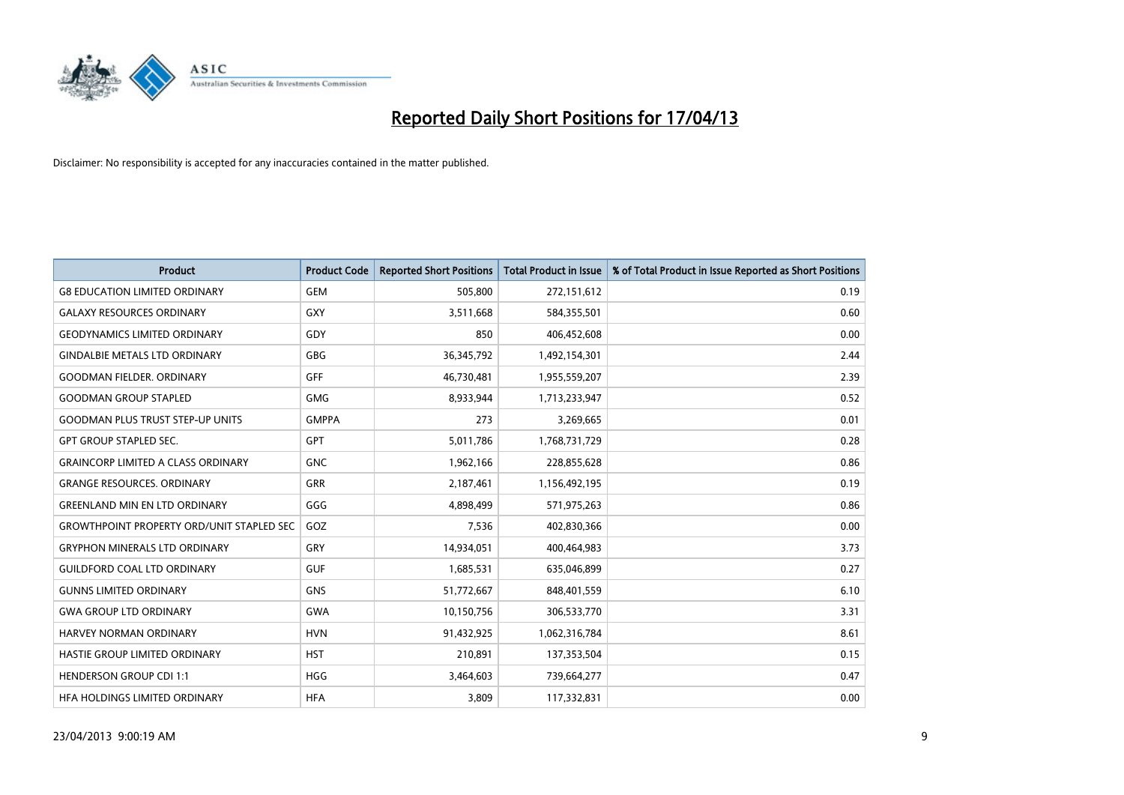

| <b>Product</b>                                   | <b>Product Code</b> | <b>Reported Short Positions</b> | <b>Total Product in Issue</b> | % of Total Product in Issue Reported as Short Positions |
|--------------------------------------------------|---------------------|---------------------------------|-------------------------------|---------------------------------------------------------|
| <b>G8 EDUCATION LIMITED ORDINARY</b>             | <b>GEM</b>          | 505,800                         | 272,151,612                   | 0.19                                                    |
| <b>GALAXY RESOURCES ORDINARY</b>                 | <b>GXY</b>          | 3,511,668                       | 584,355,501                   | 0.60                                                    |
| <b>GEODYNAMICS LIMITED ORDINARY</b>              | GDY                 | 850                             | 406,452,608                   | 0.00                                                    |
| <b>GINDALBIE METALS LTD ORDINARY</b>             | GBG                 | 36, 345, 792                    | 1,492,154,301                 | 2.44                                                    |
| <b>GOODMAN FIELDER, ORDINARY</b>                 | GFF                 | 46,730,481                      | 1,955,559,207                 | 2.39                                                    |
| <b>GOODMAN GROUP STAPLED</b>                     | <b>GMG</b>          | 8,933,944                       | 1,713,233,947                 | 0.52                                                    |
| <b>GOODMAN PLUS TRUST STEP-UP UNITS</b>          | <b>GMPPA</b>        | 273                             | 3,269,665                     | 0.01                                                    |
| <b>GPT GROUP STAPLED SEC.</b>                    | <b>GPT</b>          | 5,011,786                       | 1,768,731,729                 | 0.28                                                    |
| <b>GRAINCORP LIMITED A CLASS ORDINARY</b>        | <b>GNC</b>          | 1,962,166                       | 228,855,628                   | 0.86                                                    |
| <b>GRANGE RESOURCES, ORDINARY</b>                | <b>GRR</b>          | 2,187,461                       | 1,156,492,195                 | 0.19                                                    |
| <b>GREENLAND MIN EN LTD ORDINARY</b>             | GGG                 | 4,898,499                       | 571,975,263                   | 0.86                                                    |
| <b>GROWTHPOINT PROPERTY ORD/UNIT STAPLED SEC</b> | GOZ                 | 7,536                           | 402,830,366                   | 0.00                                                    |
| <b>GRYPHON MINERALS LTD ORDINARY</b>             | GRY                 | 14,934,051                      | 400,464,983                   | 3.73                                                    |
| <b>GUILDFORD COAL LTD ORDINARY</b>               | <b>GUF</b>          | 1,685,531                       | 635,046,899                   | 0.27                                                    |
| <b>GUNNS LIMITED ORDINARY</b>                    | <b>GNS</b>          | 51,772,667                      | 848,401,559                   | 6.10                                                    |
| <b>GWA GROUP LTD ORDINARY</b>                    | <b>GWA</b>          | 10,150,756                      | 306,533,770                   | 3.31                                                    |
| HARVEY NORMAN ORDINARY                           | <b>HVN</b>          | 91,432,925                      | 1,062,316,784                 | 8.61                                                    |
| HASTIE GROUP LIMITED ORDINARY                    | <b>HST</b>          | 210,891                         | 137,353,504                   | 0.15                                                    |
| <b>HENDERSON GROUP CDI 1:1</b>                   | <b>HGG</b>          | 3,464,603                       | 739,664,277                   | 0.47                                                    |
| HEA HOLDINGS LIMITED ORDINARY                    | <b>HFA</b>          | 3,809                           | 117,332,831                   | 0.00                                                    |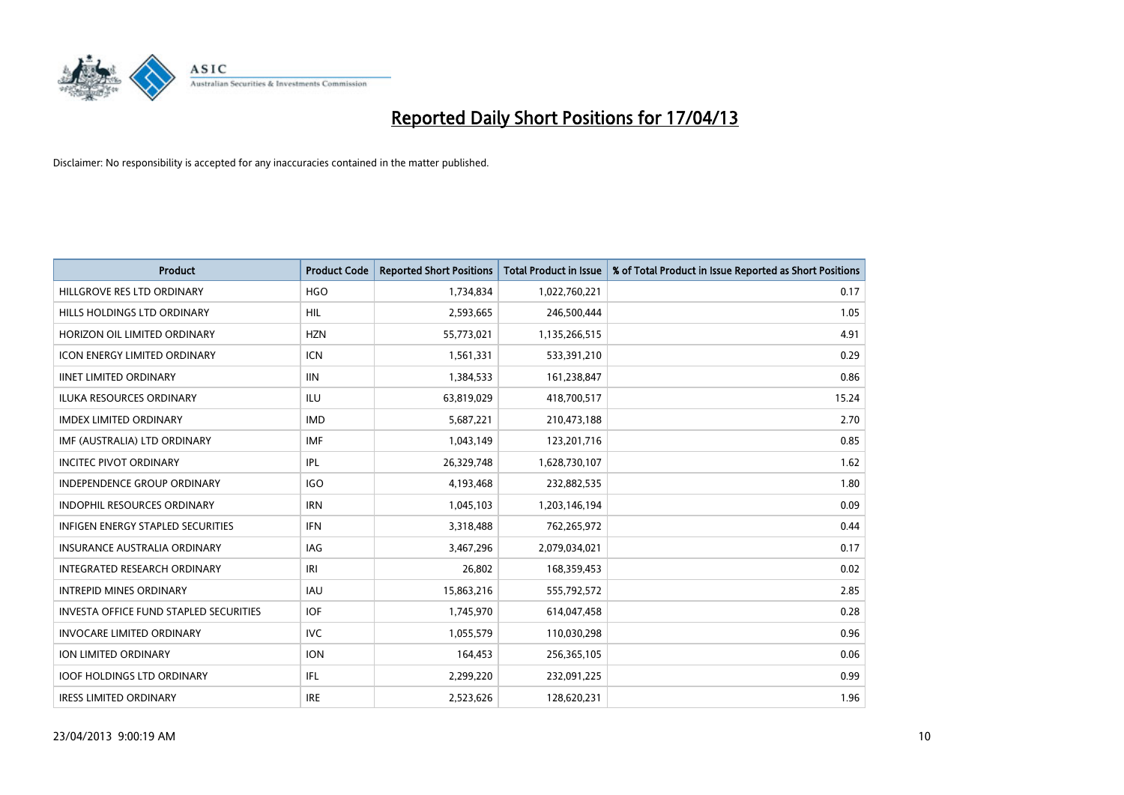

| <b>Product</b>                           | <b>Product Code</b> | <b>Reported Short Positions</b> | <b>Total Product in Issue</b> | % of Total Product in Issue Reported as Short Positions |
|------------------------------------------|---------------------|---------------------------------|-------------------------------|---------------------------------------------------------|
| HILLGROVE RES LTD ORDINARY               | <b>HGO</b>          | 1,734,834                       | 1,022,760,221                 | 0.17                                                    |
| HILLS HOLDINGS LTD ORDINARY              | HIL                 | 2,593,665                       | 246,500,444                   | 1.05                                                    |
| HORIZON OIL LIMITED ORDINARY             | <b>HZN</b>          | 55,773,021                      | 1,135,266,515                 | 4.91                                                    |
| ICON ENERGY LIMITED ORDINARY             | <b>ICN</b>          | 1,561,331                       | 533,391,210                   | 0.29                                                    |
| <b>IINET LIMITED ORDINARY</b>            | <b>IIN</b>          | 1,384,533                       | 161,238,847                   | 0.86                                                    |
| <b>ILUKA RESOURCES ORDINARY</b>          | <b>ILU</b>          | 63,819,029                      | 418,700,517                   | 15.24                                                   |
| <b>IMDEX LIMITED ORDINARY</b>            | <b>IMD</b>          | 5,687,221                       | 210,473,188                   | 2.70                                                    |
| IMF (AUSTRALIA) LTD ORDINARY             | <b>IMF</b>          | 1,043,149                       | 123,201,716                   | 0.85                                                    |
| <b>INCITEC PIVOT ORDINARY</b>            | IPL                 | 26,329,748                      | 1,628,730,107                 | 1.62                                                    |
| <b>INDEPENDENCE GROUP ORDINARY</b>       | <b>IGO</b>          | 4,193,468                       | 232,882,535                   | 1.80                                                    |
| INDOPHIL RESOURCES ORDINARY              | <b>IRN</b>          | 1,045,103                       | 1,203,146,194                 | 0.09                                                    |
| <b>INFIGEN ENERGY STAPLED SECURITIES</b> | <b>IFN</b>          | 3,318,488                       | 762,265,972                   | 0.44                                                    |
| INSURANCE AUSTRALIA ORDINARY             | <b>IAG</b>          | 3,467,296                       | 2,079,034,021                 | 0.17                                                    |
| INTEGRATED RESEARCH ORDINARY             | IRI                 | 26,802                          | 168,359,453                   | 0.02                                                    |
| <b>INTREPID MINES ORDINARY</b>           | <b>IAU</b>          | 15,863,216                      | 555,792,572                   | 2.85                                                    |
| INVESTA OFFICE FUND STAPLED SECURITIES   | <b>IOF</b>          | 1,745,970                       | 614,047,458                   | 0.28                                                    |
| <b>INVOCARE LIMITED ORDINARY</b>         | <b>IVC</b>          | 1,055,579                       | 110,030,298                   | 0.96                                                    |
| ION LIMITED ORDINARY                     | <b>ION</b>          | 164,453                         | 256,365,105                   | 0.06                                                    |
| <b>IOOF HOLDINGS LTD ORDINARY</b>        | IFL                 | 2,299,220                       | 232,091,225                   | 0.99                                                    |
| <b>IRESS LIMITED ORDINARY</b>            | <b>IRE</b>          | 2,523,626                       | 128,620,231                   | 1.96                                                    |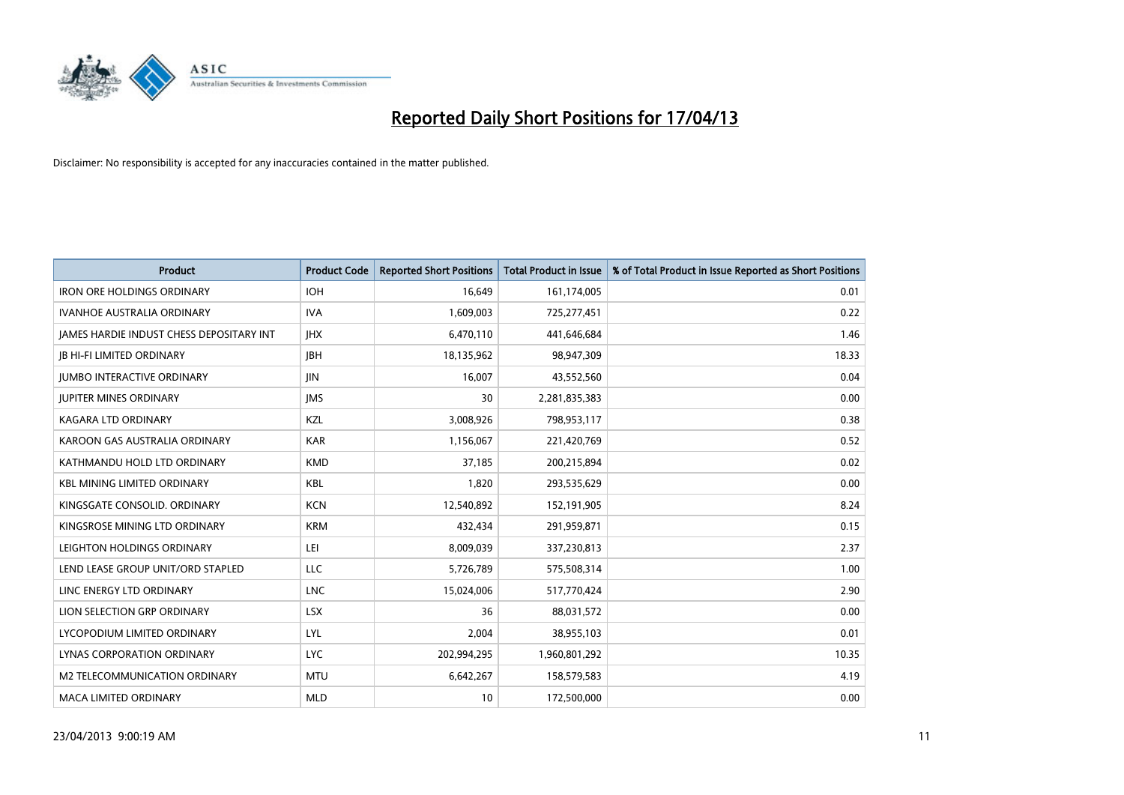

| <b>Product</b>                           | <b>Product Code</b> | <b>Reported Short Positions</b> | <b>Total Product in Issue</b> | % of Total Product in Issue Reported as Short Positions |
|------------------------------------------|---------------------|---------------------------------|-------------------------------|---------------------------------------------------------|
| <b>IRON ORE HOLDINGS ORDINARY</b>        | <b>IOH</b>          | 16,649                          | 161,174,005                   | 0.01                                                    |
| IVANHOE AUSTRALIA ORDINARY               | <b>IVA</b>          | 1,609,003                       | 725,277,451                   | 0.22                                                    |
| JAMES HARDIE INDUST CHESS DEPOSITARY INT | <b>IHX</b>          | 6,470,110                       | 441,646,684                   | 1.46                                                    |
| <b>JB HI-FI LIMITED ORDINARY</b>         | <b>JBH</b>          | 18,135,962                      | 98,947,309                    | 18.33                                                   |
| <b>JUMBO INTERACTIVE ORDINARY</b>        | <b>JIN</b>          | 16,007                          | 43,552,560                    | 0.04                                                    |
| <b>JUPITER MINES ORDINARY</b>            | <b>IMS</b>          | 30                              | 2,281,835,383                 | 0.00                                                    |
| <b>KAGARA LTD ORDINARY</b>               | KZL                 | 3,008,926                       | 798,953,117                   | 0.38                                                    |
| KAROON GAS AUSTRALIA ORDINARY            | <b>KAR</b>          | 1,156,067                       | 221,420,769                   | 0.52                                                    |
| KATHMANDU HOLD LTD ORDINARY              | <b>KMD</b>          | 37,185                          | 200,215,894                   | 0.02                                                    |
| <b>KBL MINING LIMITED ORDINARY</b>       | <b>KBL</b>          | 1,820                           | 293,535,629                   | 0.00                                                    |
| KINGSGATE CONSOLID. ORDINARY             | <b>KCN</b>          | 12,540,892                      | 152,191,905                   | 8.24                                                    |
| KINGSROSE MINING LTD ORDINARY            | <b>KRM</b>          | 432,434                         | 291,959,871                   | 0.15                                                    |
| LEIGHTON HOLDINGS ORDINARY               | LEI                 | 8,009,039                       | 337,230,813                   | 2.37                                                    |
| LEND LEASE GROUP UNIT/ORD STAPLED        | LLC                 | 5,726,789                       | 575,508,314                   | 1.00                                                    |
| LINC ENERGY LTD ORDINARY                 | <b>LNC</b>          | 15,024,006                      | 517,770,424                   | 2.90                                                    |
| LION SELECTION GRP ORDINARY              | <b>LSX</b>          | 36                              | 88,031,572                    | 0.00                                                    |
| LYCOPODIUM LIMITED ORDINARY              | <b>LYL</b>          | 2,004                           | 38,955,103                    | 0.01                                                    |
| LYNAS CORPORATION ORDINARY               | <b>LYC</b>          | 202,994,295                     | 1,960,801,292                 | 10.35                                                   |
| M2 TELECOMMUNICATION ORDINARY            | <b>MTU</b>          | 6,642,267                       | 158,579,583                   | 4.19                                                    |
| <b>MACA LIMITED ORDINARY</b>             | <b>MLD</b>          | 10                              | 172,500,000                   | 0.00                                                    |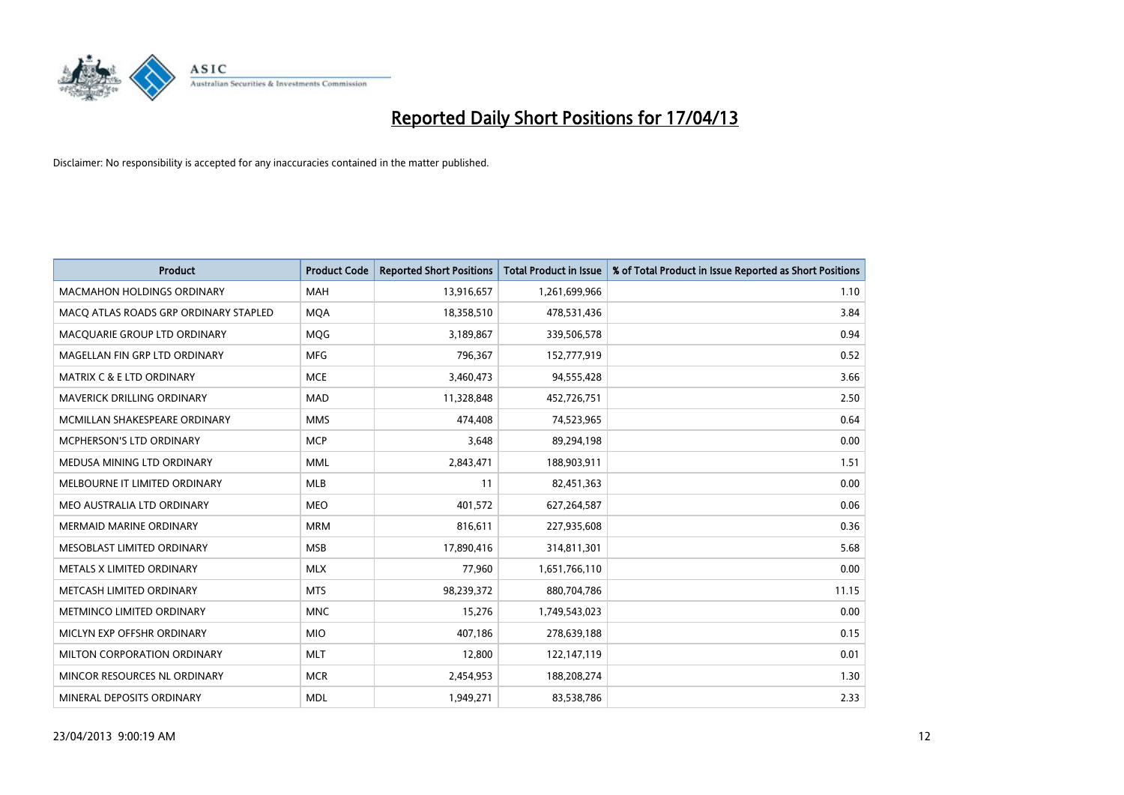

| <b>Product</b>                        | <b>Product Code</b> | <b>Reported Short Positions</b> | <b>Total Product in Issue</b> | % of Total Product in Issue Reported as Short Positions |
|---------------------------------------|---------------------|---------------------------------|-------------------------------|---------------------------------------------------------|
| <b>MACMAHON HOLDINGS ORDINARY</b>     | <b>MAH</b>          | 13,916,657                      | 1,261,699,966                 | 1.10                                                    |
| MACO ATLAS ROADS GRP ORDINARY STAPLED | <b>MQA</b>          | 18,358,510                      | 478,531,436                   | 3.84                                                    |
| MACQUARIE GROUP LTD ORDINARY          | MQG                 | 3,189,867                       | 339,506,578                   | 0.94                                                    |
| MAGELLAN FIN GRP LTD ORDINARY         | <b>MFG</b>          | 796,367                         | 152,777,919                   | 0.52                                                    |
| <b>MATRIX C &amp; E LTD ORDINARY</b>  | <b>MCE</b>          | 3,460,473                       | 94,555,428                    | 3.66                                                    |
| MAVERICK DRILLING ORDINARY            | <b>MAD</b>          | 11,328,848                      | 452,726,751                   | 2.50                                                    |
| MCMILLAN SHAKESPEARE ORDINARY         | <b>MMS</b>          | 474.408                         | 74,523,965                    | 0.64                                                    |
| <b>MCPHERSON'S LTD ORDINARY</b>       | <b>MCP</b>          | 3,648                           | 89,294,198                    | 0.00                                                    |
| MEDUSA MINING LTD ORDINARY            | <b>MML</b>          | 2,843,471                       | 188,903,911                   | 1.51                                                    |
| MELBOURNE IT LIMITED ORDINARY         | <b>MLB</b>          | 11                              | 82,451,363                    | 0.00                                                    |
| MEO AUSTRALIA LTD ORDINARY            | <b>MEO</b>          | 401,572                         | 627,264,587                   | 0.06                                                    |
| <b>MERMAID MARINE ORDINARY</b>        | <b>MRM</b>          | 816,611                         | 227,935,608                   | 0.36                                                    |
| MESOBLAST LIMITED ORDINARY            | <b>MSB</b>          | 17,890,416                      | 314,811,301                   | 5.68                                                    |
| METALS X LIMITED ORDINARY             | <b>MLX</b>          | 77,960                          | 1,651,766,110                 | 0.00                                                    |
| METCASH LIMITED ORDINARY              | <b>MTS</b>          | 98,239,372                      | 880,704,786                   | 11.15                                                   |
| METMINCO LIMITED ORDINARY             | <b>MNC</b>          | 15,276                          | 1,749,543,023                 | 0.00                                                    |
| MICLYN EXP OFFSHR ORDINARY            | <b>MIO</b>          | 407,186                         | 278,639,188                   | 0.15                                                    |
| MILTON CORPORATION ORDINARY           | <b>MLT</b>          | 12.800                          | 122,147,119                   | 0.01                                                    |
| MINCOR RESOURCES NL ORDINARY          | <b>MCR</b>          | 2,454,953                       | 188,208,274                   | 1.30                                                    |
| MINERAL DEPOSITS ORDINARY             | <b>MDL</b>          | 1,949,271                       | 83,538,786                    | 2.33                                                    |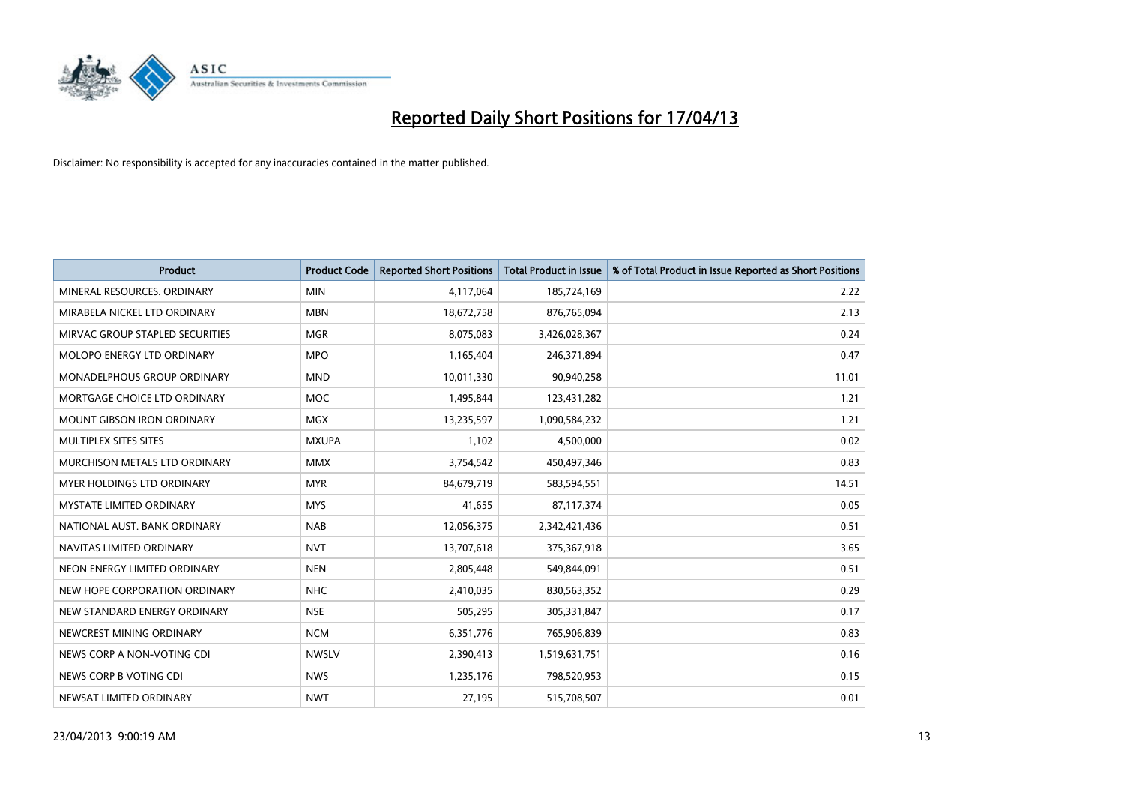

| <b>Product</b>                    | <b>Product Code</b> | <b>Reported Short Positions</b> | <b>Total Product in Issue</b> | % of Total Product in Issue Reported as Short Positions |
|-----------------------------------|---------------------|---------------------------------|-------------------------------|---------------------------------------------------------|
| MINERAL RESOURCES, ORDINARY       | <b>MIN</b>          | 4,117,064                       | 185,724,169                   | 2.22                                                    |
| MIRABELA NICKEL LTD ORDINARY      | <b>MBN</b>          | 18,672,758                      | 876,765,094                   | 2.13                                                    |
| MIRVAC GROUP STAPLED SECURITIES   | <b>MGR</b>          | 8,075,083                       | 3,426,028,367                 | 0.24                                                    |
| MOLOPO ENERGY LTD ORDINARY        | <b>MPO</b>          | 1,165,404                       | 246,371,894                   | 0.47                                                    |
| MONADELPHOUS GROUP ORDINARY       | <b>MND</b>          | 10,011,330                      | 90,940,258                    | 11.01                                                   |
| MORTGAGE CHOICE LTD ORDINARY      | <b>MOC</b>          | 1,495,844                       | 123,431,282                   | 1.21                                                    |
| <b>MOUNT GIBSON IRON ORDINARY</b> | <b>MGX</b>          | 13,235,597                      | 1,090,584,232                 | 1.21                                                    |
| MULTIPLEX SITES SITES             | <b>MXUPA</b>        | 1,102                           | 4,500,000                     | 0.02                                                    |
| MURCHISON METALS LTD ORDINARY     | <b>MMX</b>          | 3,754,542                       | 450,497,346                   | 0.83                                                    |
| MYER HOLDINGS LTD ORDINARY        | <b>MYR</b>          | 84,679,719                      | 583,594,551                   | 14.51                                                   |
| <b>MYSTATE LIMITED ORDINARY</b>   | <b>MYS</b>          | 41,655                          | 87,117,374                    | 0.05                                                    |
| NATIONAL AUST. BANK ORDINARY      | <b>NAB</b>          | 12,056,375                      | 2,342,421,436                 | 0.51                                                    |
| NAVITAS LIMITED ORDINARY          | <b>NVT</b>          | 13,707,618                      | 375,367,918                   | 3.65                                                    |
| NEON ENERGY LIMITED ORDINARY      | <b>NEN</b>          | 2,805,448                       | 549,844,091                   | 0.51                                                    |
| NEW HOPE CORPORATION ORDINARY     | <b>NHC</b>          | 2,410,035                       | 830,563,352                   | 0.29                                                    |
| NEW STANDARD ENERGY ORDINARY      | <b>NSE</b>          | 505,295                         | 305,331,847                   | 0.17                                                    |
| NEWCREST MINING ORDINARY          | <b>NCM</b>          | 6,351,776                       | 765,906,839                   | 0.83                                                    |
| NEWS CORP A NON-VOTING CDI        | <b>NWSLV</b>        | 2,390,413                       | 1,519,631,751                 | 0.16                                                    |
| NEWS CORP B VOTING CDI            | <b>NWS</b>          | 1,235,176                       | 798,520,953                   | 0.15                                                    |
| NEWSAT LIMITED ORDINARY           | <b>NWT</b>          | 27,195                          | 515,708,507                   | 0.01                                                    |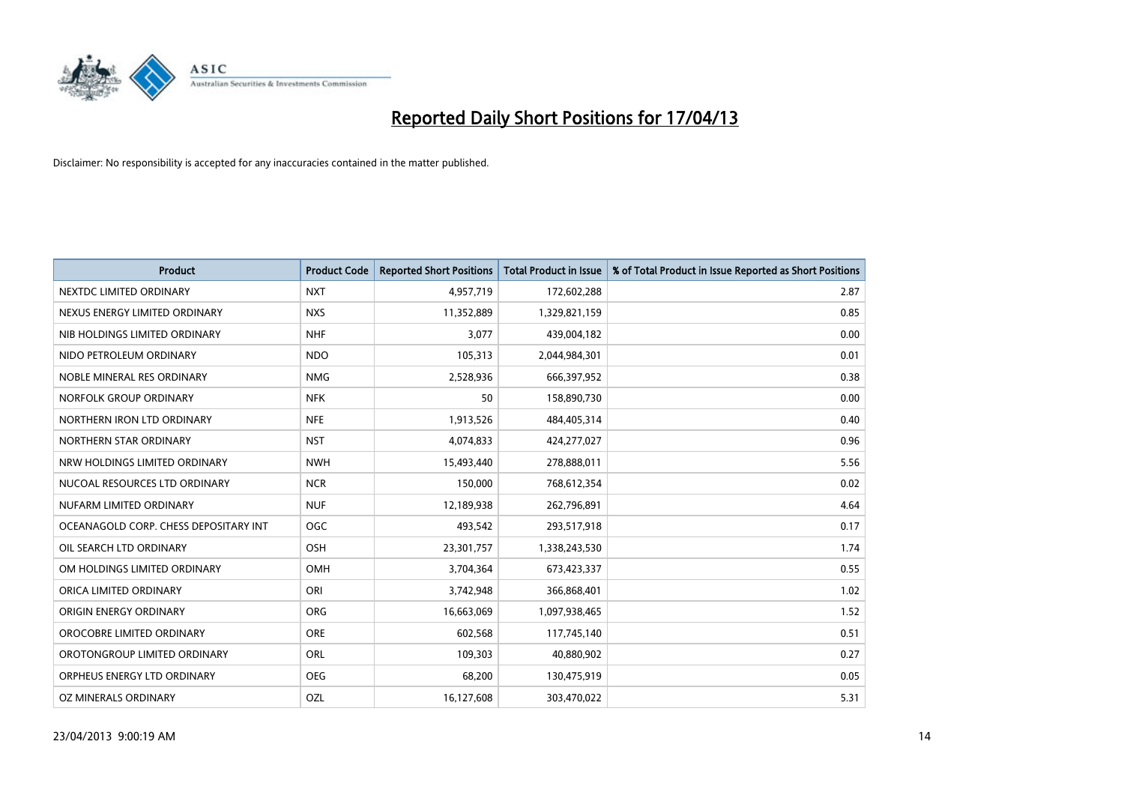

| <b>Product</b>                        | <b>Product Code</b> | <b>Reported Short Positions</b> | <b>Total Product in Issue</b> | % of Total Product in Issue Reported as Short Positions |
|---------------------------------------|---------------------|---------------------------------|-------------------------------|---------------------------------------------------------|
| NEXTDC LIMITED ORDINARY               | <b>NXT</b>          | 4,957,719                       | 172,602,288                   | 2.87                                                    |
| NEXUS ENERGY LIMITED ORDINARY         | <b>NXS</b>          | 11,352,889                      | 1,329,821,159                 | 0.85                                                    |
| NIB HOLDINGS LIMITED ORDINARY         | <b>NHF</b>          | 3,077                           | 439,004,182                   | 0.00                                                    |
| NIDO PETROLEUM ORDINARY               | <b>NDO</b>          | 105,313                         | 2,044,984,301                 | 0.01                                                    |
| NOBLE MINERAL RES ORDINARY            | <b>NMG</b>          | 2,528,936                       | 666,397,952                   | 0.38                                                    |
| NORFOLK GROUP ORDINARY                | <b>NFK</b>          | 50                              | 158,890,730                   | 0.00                                                    |
| NORTHERN IRON LTD ORDINARY            | <b>NFE</b>          | 1,913,526                       | 484,405,314                   | 0.40                                                    |
| NORTHERN STAR ORDINARY                | <b>NST</b>          | 4,074,833                       | 424,277,027                   | 0.96                                                    |
| NRW HOLDINGS LIMITED ORDINARY         | <b>NWH</b>          | 15,493,440                      | 278,888,011                   | 5.56                                                    |
| NUCOAL RESOURCES LTD ORDINARY         | <b>NCR</b>          | 150,000                         | 768,612,354                   | 0.02                                                    |
| NUFARM LIMITED ORDINARY               | <b>NUF</b>          | 12,189,938                      | 262,796,891                   | 4.64                                                    |
| OCEANAGOLD CORP. CHESS DEPOSITARY INT | <b>OGC</b>          | 493,542                         | 293,517,918                   | 0.17                                                    |
| OIL SEARCH LTD ORDINARY               | OSH                 | 23,301,757                      | 1,338,243,530                 | 1.74                                                    |
| OM HOLDINGS LIMITED ORDINARY          | OMH                 | 3,704,364                       | 673,423,337                   | 0.55                                                    |
| ORICA LIMITED ORDINARY                | ORI                 | 3,742,948                       | 366,868,401                   | 1.02                                                    |
| ORIGIN ENERGY ORDINARY                | ORG                 | 16,663,069                      | 1,097,938,465                 | 1.52                                                    |
| OROCOBRE LIMITED ORDINARY             | <b>ORE</b>          | 602,568                         | 117,745,140                   | 0.51                                                    |
| OROTONGROUP LIMITED ORDINARY          | ORL                 | 109,303                         | 40,880,902                    | 0.27                                                    |
| ORPHEUS ENERGY LTD ORDINARY           | <b>OEG</b>          | 68,200                          | 130,475,919                   | 0.05                                                    |
| OZ MINERALS ORDINARY                  | OZL                 | 16,127,608                      | 303,470,022                   | 5.31                                                    |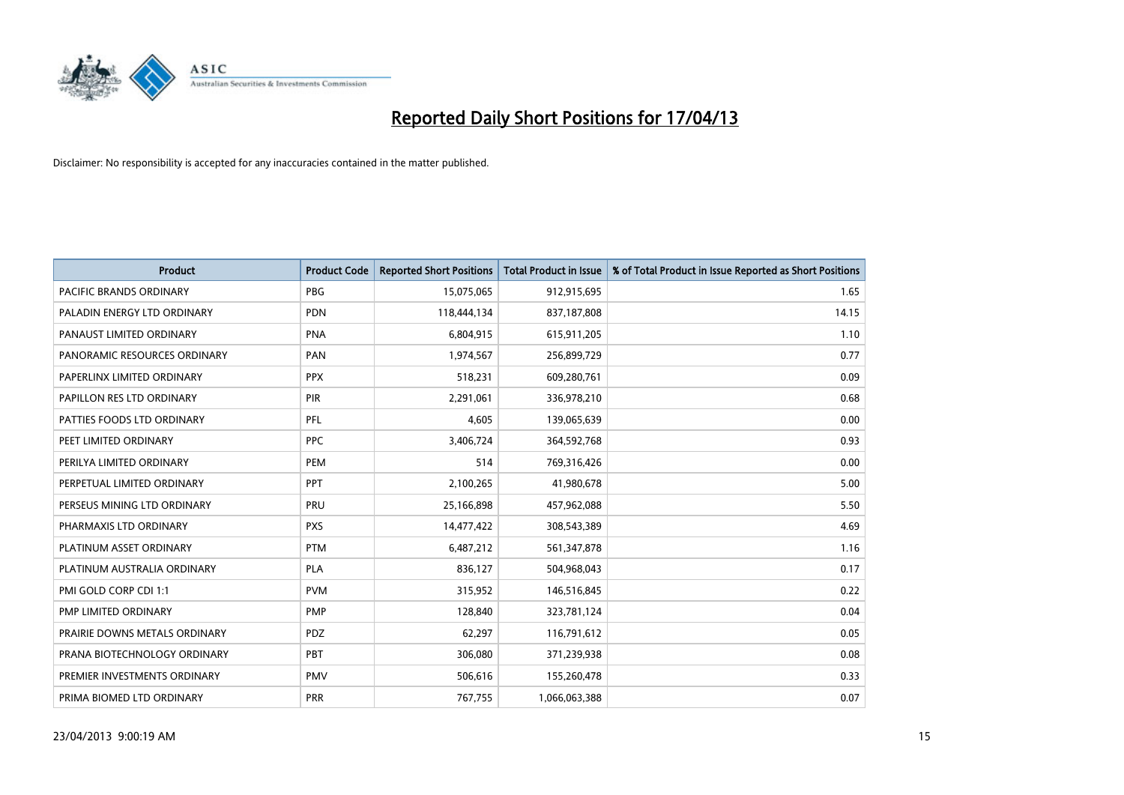

| <b>Product</b>                 | <b>Product Code</b> | <b>Reported Short Positions</b> | <b>Total Product in Issue</b> | % of Total Product in Issue Reported as Short Positions |
|--------------------------------|---------------------|---------------------------------|-------------------------------|---------------------------------------------------------|
| <b>PACIFIC BRANDS ORDINARY</b> | <b>PBG</b>          | 15,075,065                      | 912,915,695                   | 1.65                                                    |
| PALADIN ENERGY LTD ORDINARY    | <b>PDN</b>          | 118,444,134                     | 837,187,808                   | 14.15                                                   |
| PANAUST LIMITED ORDINARY       | <b>PNA</b>          | 6,804,915                       | 615,911,205                   | 1.10                                                    |
| PANORAMIC RESOURCES ORDINARY   | PAN                 | 1,974,567                       | 256,899,729                   | 0.77                                                    |
| PAPERLINX LIMITED ORDINARY     | <b>PPX</b>          | 518,231                         | 609,280,761                   | 0.09                                                    |
| PAPILLON RES LTD ORDINARY      | PIR                 | 2,291,061                       | 336,978,210                   | 0.68                                                    |
| PATTIES FOODS LTD ORDINARY     | PFL                 | 4,605                           | 139,065,639                   | 0.00                                                    |
| PEET LIMITED ORDINARY          | <b>PPC</b>          | 3,406,724                       | 364,592,768                   | 0.93                                                    |
| PERILYA LIMITED ORDINARY       | PEM                 | 514                             | 769,316,426                   | 0.00                                                    |
| PERPETUAL LIMITED ORDINARY     | PPT                 | 2,100,265                       | 41,980,678                    | 5.00                                                    |
| PERSEUS MINING LTD ORDINARY    | PRU                 | 25,166,898                      | 457,962,088                   | 5.50                                                    |
| PHARMAXIS LTD ORDINARY         | <b>PXS</b>          | 14,477,422                      | 308,543,389                   | 4.69                                                    |
| PLATINUM ASSET ORDINARY        | <b>PTM</b>          | 6,487,212                       | 561,347,878                   | 1.16                                                    |
| PLATINUM AUSTRALIA ORDINARY    | <b>PLA</b>          | 836,127                         | 504,968,043                   | 0.17                                                    |
| PMI GOLD CORP CDI 1:1          | <b>PVM</b>          | 315,952                         | 146,516,845                   | 0.22                                                    |
| PMP LIMITED ORDINARY           | <b>PMP</b>          | 128,840                         | 323,781,124                   | 0.04                                                    |
| PRAIRIE DOWNS METALS ORDINARY  | PDZ                 | 62,297                          | 116,791,612                   | 0.05                                                    |
| PRANA BIOTECHNOLOGY ORDINARY   | PBT                 | 306,080                         | 371,239,938                   | 0.08                                                    |
| PREMIER INVESTMENTS ORDINARY   | <b>PMV</b>          | 506,616                         | 155,260,478                   | 0.33                                                    |
| PRIMA BIOMED LTD ORDINARY      | <b>PRR</b>          | 767,755                         | 1,066,063,388                 | 0.07                                                    |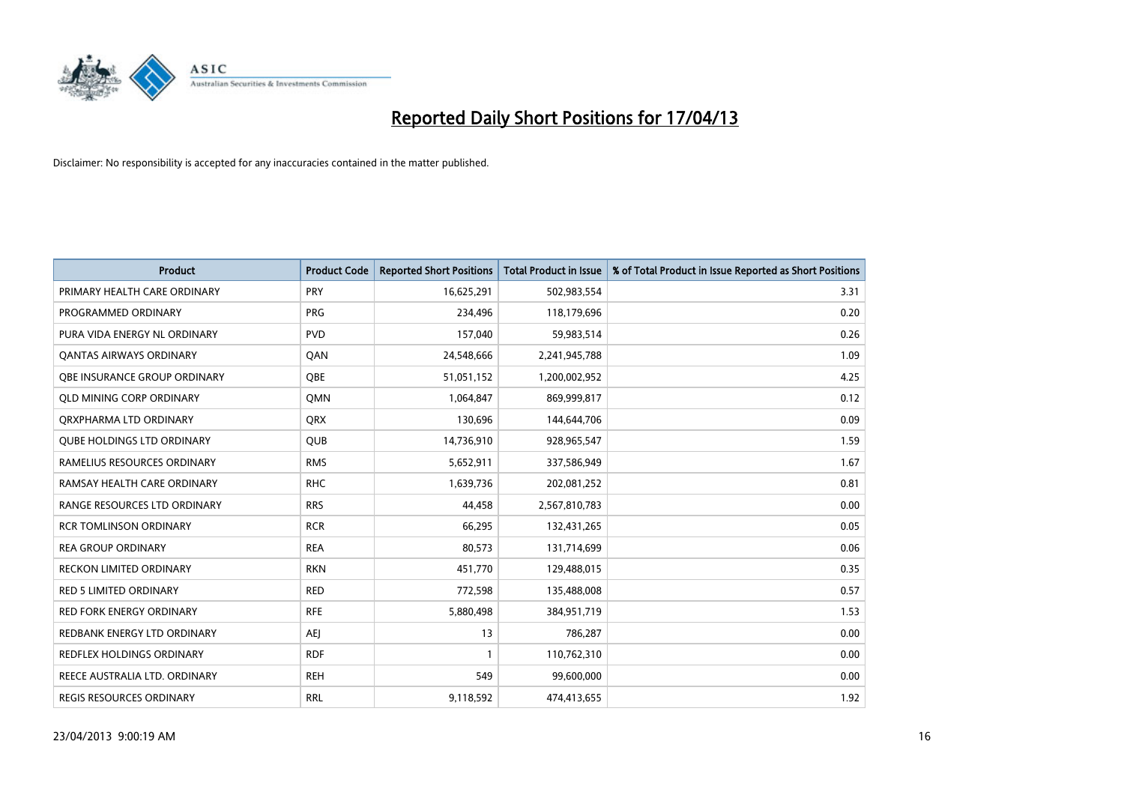

| <b>Product</b>                    | <b>Product Code</b> | <b>Reported Short Positions</b> | <b>Total Product in Issue</b> | % of Total Product in Issue Reported as Short Positions |
|-----------------------------------|---------------------|---------------------------------|-------------------------------|---------------------------------------------------------|
| PRIMARY HEALTH CARE ORDINARY      | <b>PRY</b>          | 16,625,291                      | 502,983,554                   | 3.31                                                    |
| PROGRAMMED ORDINARY               | <b>PRG</b>          | 234,496                         | 118,179,696                   | 0.20                                                    |
| PURA VIDA ENERGY NL ORDINARY      | <b>PVD</b>          | 157,040                         | 59,983,514                    | 0.26                                                    |
| <b>QANTAS AIRWAYS ORDINARY</b>    | QAN                 | 24,548,666                      | 2,241,945,788                 | 1.09                                                    |
| OBE INSURANCE GROUP ORDINARY      | <b>OBE</b>          | 51,051,152                      | 1,200,002,952                 | 4.25                                                    |
| <b>QLD MINING CORP ORDINARY</b>   | <b>OMN</b>          | 1,064,847                       | 869,999,817                   | 0.12                                                    |
| ORXPHARMA LTD ORDINARY            | <b>QRX</b>          | 130,696                         | 144,644,706                   | 0.09                                                    |
| <b>OUBE HOLDINGS LTD ORDINARY</b> | <b>QUB</b>          | 14,736,910                      | 928,965,547                   | 1.59                                                    |
| RAMELIUS RESOURCES ORDINARY       | <b>RMS</b>          | 5,652,911                       | 337,586,949                   | 1.67                                                    |
| RAMSAY HEALTH CARE ORDINARY       | <b>RHC</b>          | 1,639,736                       | 202,081,252                   | 0.81                                                    |
| RANGE RESOURCES LTD ORDINARY      | <b>RRS</b>          | 44,458                          | 2,567,810,783                 | 0.00                                                    |
| <b>RCR TOMLINSON ORDINARY</b>     | <b>RCR</b>          | 66,295                          | 132,431,265                   | 0.05                                                    |
| <b>REA GROUP ORDINARY</b>         | <b>REA</b>          | 80,573                          | 131,714,699                   | 0.06                                                    |
| <b>RECKON LIMITED ORDINARY</b>    | <b>RKN</b>          | 451,770                         | 129,488,015                   | 0.35                                                    |
| <b>RED 5 LIMITED ORDINARY</b>     | <b>RED</b>          | 772,598                         | 135,488,008                   | 0.57                                                    |
| RED FORK ENERGY ORDINARY          | <b>RFE</b>          | 5,880,498                       | 384,951,719                   | 1.53                                                    |
| REDBANK ENERGY LTD ORDINARY       | AEJ                 | 13                              | 786,287                       | 0.00                                                    |
| <b>REDFLEX HOLDINGS ORDINARY</b>  | <b>RDF</b>          | $\mathbf{1}$                    | 110,762,310                   | 0.00                                                    |
| REECE AUSTRALIA LTD. ORDINARY     | <b>REH</b>          | 549                             | 99,600,000                    | 0.00                                                    |
| REGIS RESOURCES ORDINARY          | <b>RRL</b>          | 9,118,592                       | 474,413,655                   | 1.92                                                    |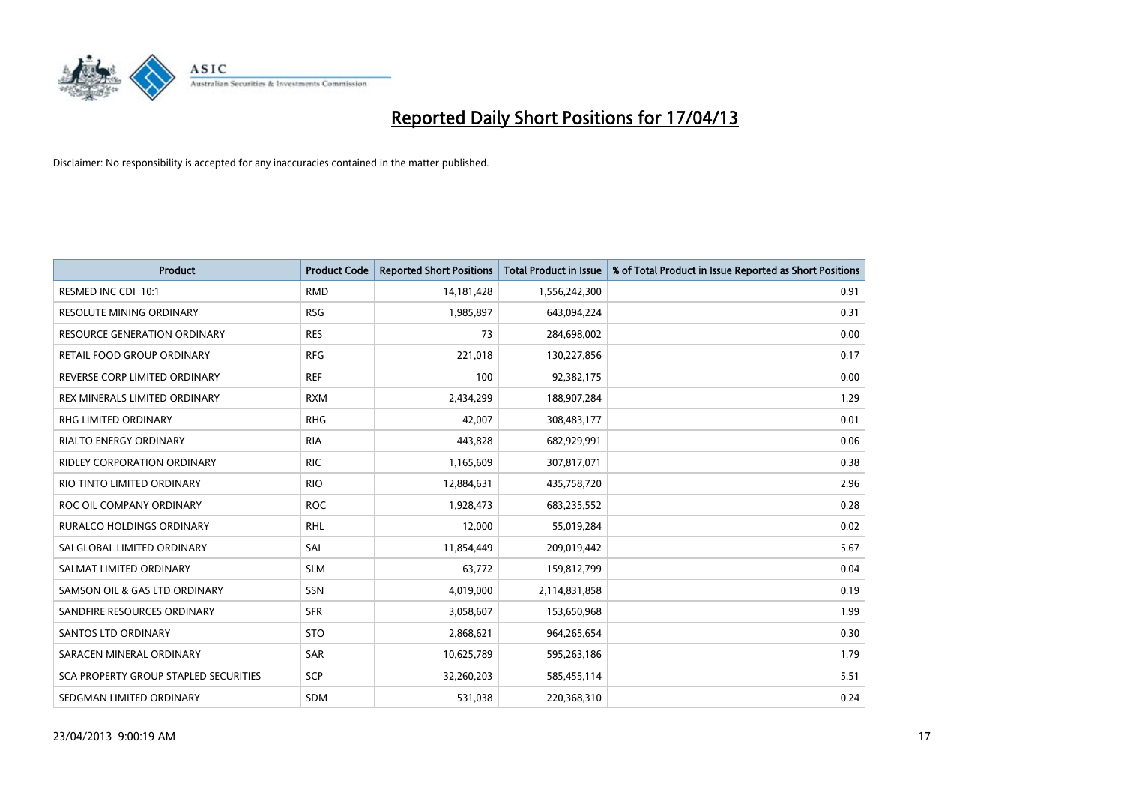

| <b>Product</b>                               | <b>Product Code</b> | <b>Reported Short Positions</b> | <b>Total Product in Issue</b> | % of Total Product in Issue Reported as Short Positions |
|----------------------------------------------|---------------------|---------------------------------|-------------------------------|---------------------------------------------------------|
| RESMED INC CDI 10:1                          | <b>RMD</b>          | 14, 181, 428                    | 1,556,242,300                 | 0.91                                                    |
| RESOLUTE MINING ORDINARY                     | <b>RSG</b>          | 1,985,897                       | 643,094,224                   | 0.31                                                    |
| <b>RESOURCE GENERATION ORDINARY</b>          | <b>RES</b>          | 73                              | 284,698,002                   | 0.00                                                    |
| RETAIL FOOD GROUP ORDINARY                   | <b>RFG</b>          | 221,018                         | 130,227,856                   | 0.17                                                    |
| REVERSE CORP LIMITED ORDINARY                | <b>REF</b>          | 100                             | 92,382,175                    | 0.00                                                    |
| REX MINERALS LIMITED ORDINARY                | <b>RXM</b>          | 2,434,299                       | 188,907,284                   | 1.29                                                    |
| RHG LIMITED ORDINARY                         | <b>RHG</b>          | 42,007                          | 308,483,177                   | 0.01                                                    |
| RIALTO ENERGY ORDINARY                       | <b>RIA</b>          | 443,828                         | 682,929,991                   | 0.06                                                    |
| <b>RIDLEY CORPORATION ORDINARY</b>           | <b>RIC</b>          | 1,165,609                       | 307,817,071                   | 0.38                                                    |
| RIO TINTO LIMITED ORDINARY                   | <b>RIO</b>          | 12,884,631                      | 435,758,720                   | 2.96                                                    |
| ROC OIL COMPANY ORDINARY                     | <b>ROC</b>          | 1,928,473                       | 683,235,552                   | 0.28                                                    |
| <b>RURALCO HOLDINGS ORDINARY</b>             | <b>RHL</b>          | 12,000                          | 55,019,284                    | 0.02                                                    |
| SAI GLOBAL LIMITED ORDINARY                  | SAI                 | 11,854,449                      | 209,019,442                   | 5.67                                                    |
| SALMAT LIMITED ORDINARY                      | <b>SLM</b>          | 63,772                          | 159,812,799                   | 0.04                                                    |
| SAMSON OIL & GAS LTD ORDINARY                | SSN                 | 4,019,000                       | 2,114,831,858                 | 0.19                                                    |
| SANDFIRE RESOURCES ORDINARY                  | <b>SFR</b>          | 3,058,607                       | 153,650,968                   | 1.99                                                    |
| <b>SANTOS LTD ORDINARY</b>                   | <b>STO</b>          | 2,868,621                       | 964,265,654                   | 0.30                                                    |
| SARACEN MINERAL ORDINARY                     | <b>SAR</b>          | 10,625,789                      | 595,263,186                   | 1.79                                                    |
| <b>SCA PROPERTY GROUP STAPLED SECURITIES</b> | <b>SCP</b>          | 32,260,203                      | 585,455,114                   | 5.51                                                    |
| SEDGMAN LIMITED ORDINARY                     | <b>SDM</b>          | 531,038                         | 220,368,310                   | 0.24                                                    |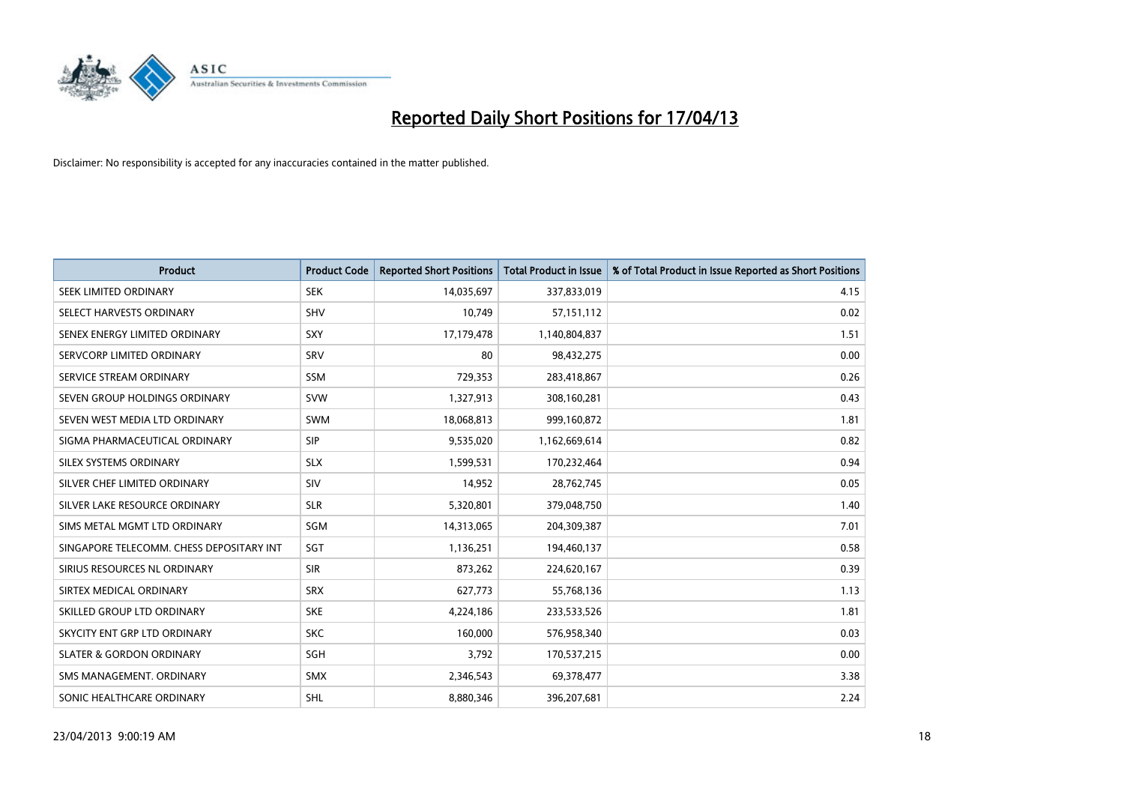

| <b>Product</b>                           | <b>Product Code</b> | <b>Reported Short Positions</b> | <b>Total Product in Issue</b> | % of Total Product in Issue Reported as Short Positions |
|------------------------------------------|---------------------|---------------------------------|-------------------------------|---------------------------------------------------------|
| SEEK LIMITED ORDINARY                    | <b>SEK</b>          | 14,035,697                      | 337,833,019                   | 4.15                                                    |
| SELECT HARVESTS ORDINARY                 | SHV                 | 10,749                          | 57,151,112                    | 0.02                                                    |
| SENEX ENERGY LIMITED ORDINARY            | <b>SXY</b>          | 17,179,478                      | 1,140,804,837                 | 1.51                                                    |
| SERVCORP LIMITED ORDINARY                | SRV                 | 80                              | 98,432,275                    | 0.00                                                    |
| SERVICE STREAM ORDINARY                  | <b>SSM</b>          | 729,353                         | 283,418,867                   | 0.26                                                    |
| SEVEN GROUP HOLDINGS ORDINARY            | <b>SVW</b>          | 1,327,913                       | 308,160,281                   | 0.43                                                    |
| SEVEN WEST MEDIA LTD ORDINARY            | <b>SWM</b>          | 18,068,813                      | 999,160,872                   | 1.81                                                    |
| SIGMA PHARMACEUTICAL ORDINARY            | <b>SIP</b>          | 9,535,020                       | 1,162,669,614                 | 0.82                                                    |
| SILEX SYSTEMS ORDINARY                   | <b>SLX</b>          | 1,599,531                       | 170,232,464                   | 0.94                                                    |
| SILVER CHEF LIMITED ORDINARY             | SIV                 | 14,952                          | 28,762,745                    | 0.05                                                    |
| SILVER LAKE RESOURCE ORDINARY            | <b>SLR</b>          | 5,320,801                       | 379,048,750                   | 1.40                                                    |
| SIMS METAL MGMT LTD ORDINARY             | SGM                 | 14,313,065                      | 204,309,387                   | 7.01                                                    |
| SINGAPORE TELECOMM. CHESS DEPOSITARY INT | <b>SGT</b>          | 1,136,251                       | 194,460,137                   | 0.58                                                    |
| SIRIUS RESOURCES NL ORDINARY             | <b>SIR</b>          | 873,262                         | 224,620,167                   | 0.39                                                    |
| SIRTEX MEDICAL ORDINARY                  | <b>SRX</b>          | 627,773                         | 55,768,136                    | 1.13                                                    |
| SKILLED GROUP LTD ORDINARY               | <b>SKE</b>          | 4,224,186                       | 233,533,526                   | 1.81                                                    |
| SKYCITY ENT GRP LTD ORDINARY             | <b>SKC</b>          | 160,000                         | 576,958,340                   | 0.03                                                    |
| <b>SLATER &amp; GORDON ORDINARY</b>      | SGH                 | 3,792                           | 170,537,215                   | 0.00                                                    |
| SMS MANAGEMENT, ORDINARY                 | <b>SMX</b>          | 2,346,543                       | 69,378,477                    | 3.38                                                    |
| SONIC HEALTHCARE ORDINARY                | SHL                 | 8,880,346                       | 396,207,681                   | 2.24                                                    |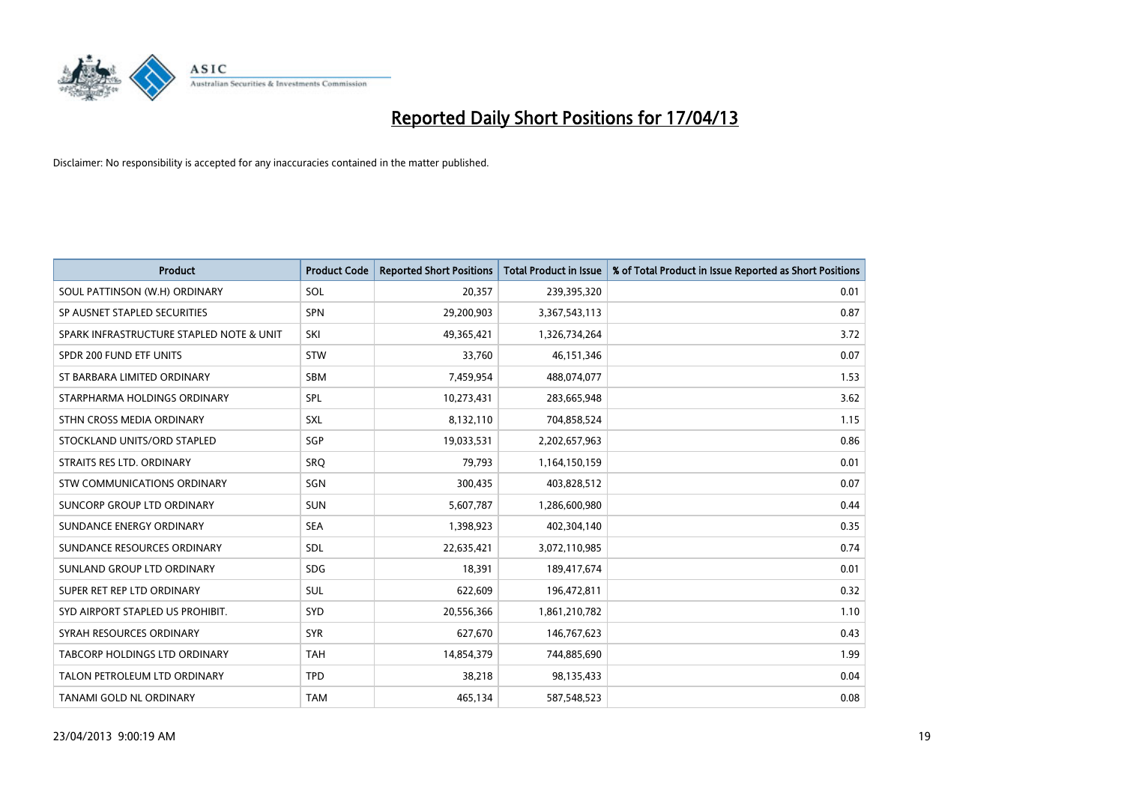

| <b>Product</b>                           | <b>Product Code</b> | <b>Reported Short Positions</b> | <b>Total Product in Issue</b> | % of Total Product in Issue Reported as Short Positions |
|------------------------------------------|---------------------|---------------------------------|-------------------------------|---------------------------------------------------------|
| SOUL PATTINSON (W.H) ORDINARY            | <b>SOL</b>          | 20,357                          | 239,395,320                   | 0.01                                                    |
| SP AUSNET STAPLED SECURITIES             | <b>SPN</b>          | 29,200,903                      | 3,367,543,113                 | 0.87                                                    |
| SPARK INFRASTRUCTURE STAPLED NOTE & UNIT | SKI                 | 49,365,421                      | 1,326,734,264                 | 3.72                                                    |
| SPDR 200 FUND ETF UNITS                  | <b>STW</b>          | 33,760                          | 46,151,346                    | 0.07                                                    |
| ST BARBARA LIMITED ORDINARY              | <b>SBM</b>          | 7,459,954                       | 488,074,077                   | 1.53                                                    |
| STARPHARMA HOLDINGS ORDINARY             | <b>SPL</b>          | 10,273,431                      | 283,665,948                   | 3.62                                                    |
| STHN CROSS MEDIA ORDINARY                | <b>SXL</b>          | 8,132,110                       | 704,858,524                   | 1.15                                                    |
| STOCKLAND UNITS/ORD STAPLED              | SGP                 | 19,033,531                      | 2,202,657,963                 | 0.86                                                    |
| STRAITS RES LTD. ORDINARY                | <b>SRQ</b>          | 79,793                          | 1,164,150,159                 | 0.01                                                    |
| STW COMMUNICATIONS ORDINARY              | SGN                 | 300,435                         | 403,828,512                   | 0.07                                                    |
| SUNCORP GROUP LTD ORDINARY               | <b>SUN</b>          | 5,607,787                       | 1,286,600,980                 | 0.44                                                    |
| SUNDANCE ENERGY ORDINARY                 | <b>SEA</b>          | 1,398,923                       | 402,304,140                   | 0.35                                                    |
| SUNDANCE RESOURCES ORDINARY              | <b>SDL</b>          | 22,635,421                      | 3,072,110,985                 | 0.74                                                    |
| SUNLAND GROUP LTD ORDINARY               | <b>SDG</b>          | 18,391                          | 189,417,674                   | 0.01                                                    |
| SUPER RET REP LTD ORDINARY               | <b>SUL</b>          | 622,609                         | 196,472,811                   | 0.32                                                    |
| SYD AIRPORT STAPLED US PROHIBIT.         | SYD                 | 20,556,366                      | 1,861,210,782                 | 1.10                                                    |
| SYRAH RESOURCES ORDINARY                 | <b>SYR</b>          | 627,670                         | 146,767,623                   | 0.43                                                    |
| TABCORP HOLDINGS LTD ORDINARY            | <b>TAH</b>          | 14,854,379                      | 744,885,690                   | 1.99                                                    |
| TALON PETROLEUM LTD ORDINARY             | <b>TPD</b>          | 38,218                          | 98,135,433                    | 0.04                                                    |
| TANAMI GOLD NL ORDINARY                  | <b>TAM</b>          | 465,134                         | 587,548,523                   | 0.08                                                    |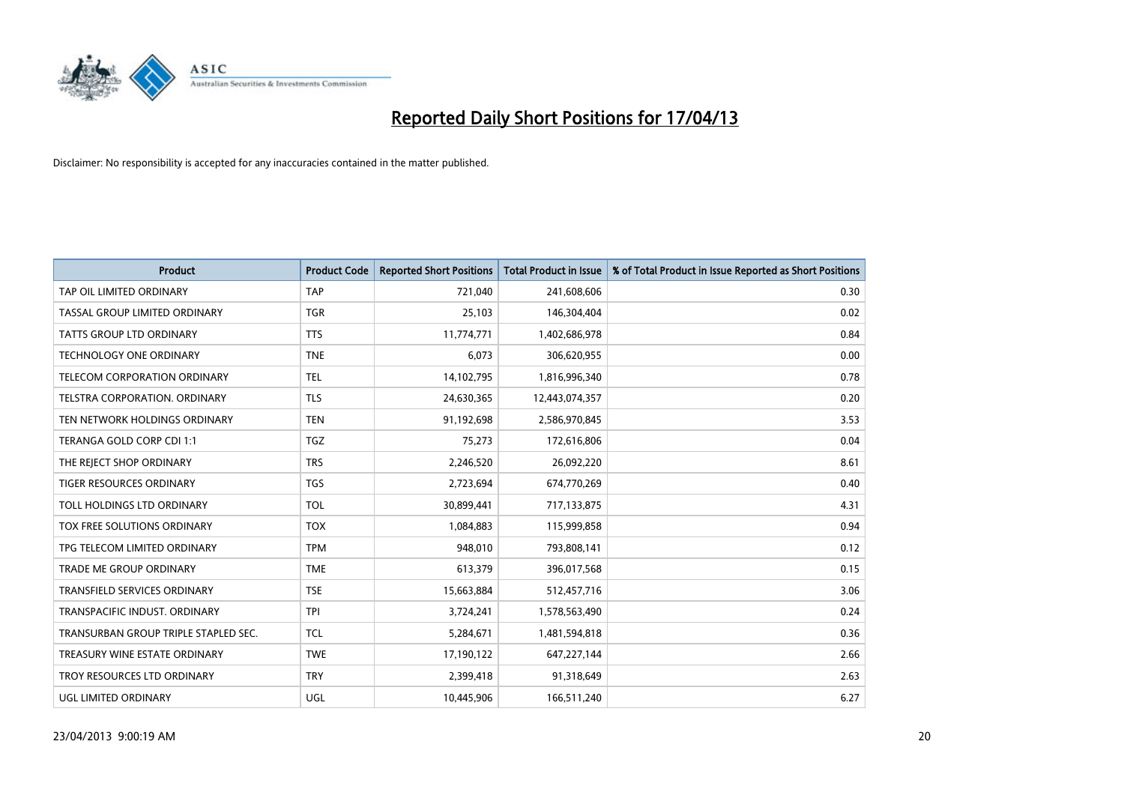

| <b>Product</b>                       | <b>Product Code</b> | <b>Reported Short Positions</b> | <b>Total Product in Issue</b> | % of Total Product in Issue Reported as Short Positions |
|--------------------------------------|---------------------|---------------------------------|-------------------------------|---------------------------------------------------------|
| TAP OIL LIMITED ORDINARY             | <b>TAP</b>          | 721,040                         | 241,608,606                   | 0.30                                                    |
| TASSAL GROUP LIMITED ORDINARY        | TGR                 | 25,103                          | 146,304,404                   | 0.02                                                    |
| <b>TATTS GROUP LTD ORDINARY</b>      | <b>TTS</b>          | 11,774,771                      | 1,402,686,978                 | 0.84                                                    |
| TECHNOLOGY ONE ORDINARY              | <b>TNE</b>          | 6,073                           | 306,620,955                   | 0.00                                                    |
| TELECOM CORPORATION ORDINARY         | <b>TEL</b>          | 14,102,795                      | 1,816,996,340                 | 0.78                                                    |
| TELSTRA CORPORATION, ORDINARY        | <b>TLS</b>          | 24,630,365                      | 12,443,074,357                | 0.20                                                    |
| TEN NETWORK HOLDINGS ORDINARY        | <b>TEN</b>          | 91,192,698                      | 2,586,970,845                 | 3.53                                                    |
| TERANGA GOLD CORP CDI 1:1            | TGZ                 | 75,273                          | 172,616,806                   | 0.04                                                    |
| THE REJECT SHOP ORDINARY             | <b>TRS</b>          | 2,246,520                       | 26,092,220                    | 8.61                                                    |
| <b>TIGER RESOURCES ORDINARY</b>      | <b>TGS</b>          | 2,723,694                       | 674,770,269                   | 0.40                                                    |
| TOLL HOLDINGS LTD ORDINARY           | <b>TOL</b>          | 30,899,441                      | 717,133,875                   | 4.31                                                    |
| TOX FREE SOLUTIONS ORDINARY          | <b>TOX</b>          | 1,084,883                       | 115,999,858                   | 0.94                                                    |
| TPG TELECOM LIMITED ORDINARY         | <b>TPM</b>          | 948,010                         | 793,808,141                   | 0.12                                                    |
| <b>TRADE ME GROUP ORDINARY</b>       | <b>TME</b>          | 613,379                         | 396,017,568                   | 0.15                                                    |
| <b>TRANSFIELD SERVICES ORDINARY</b>  | <b>TSE</b>          | 15,663,884                      | 512,457,716                   | 3.06                                                    |
| TRANSPACIFIC INDUST. ORDINARY        | <b>TPI</b>          | 3,724,241                       | 1,578,563,490                 | 0.24                                                    |
| TRANSURBAN GROUP TRIPLE STAPLED SEC. | <b>TCL</b>          | 5,284,671                       | 1,481,594,818                 | 0.36                                                    |
| TREASURY WINE ESTATE ORDINARY        | <b>TWE</b>          | 17,190,122                      | 647,227,144                   | 2.66                                                    |
| TROY RESOURCES LTD ORDINARY          | <b>TRY</b>          | 2,399,418                       | 91,318,649                    | 2.63                                                    |
| UGL LIMITED ORDINARY                 | UGL                 | 10,445,906                      | 166,511,240                   | 6.27                                                    |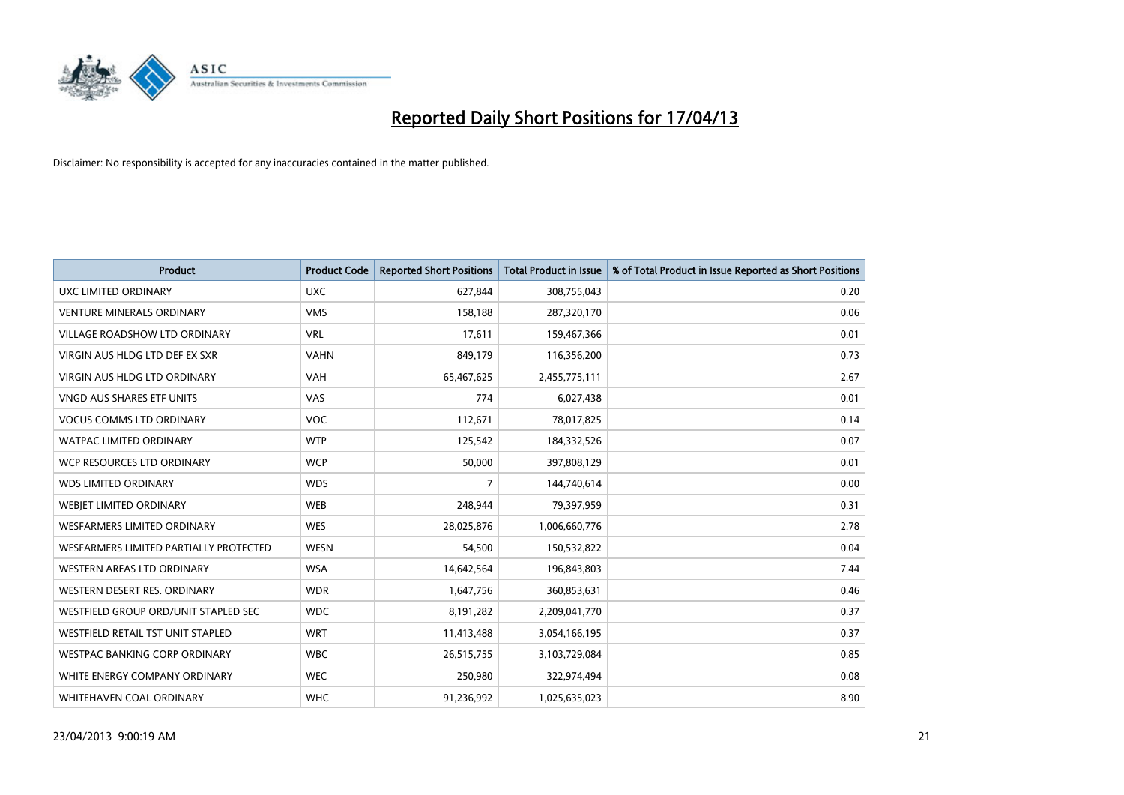

| <b>Product</b>                         | <b>Product Code</b> | <b>Reported Short Positions</b> | <b>Total Product in Issue</b> | % of Total Product in Issue Reported as Short Positions |
|----------------------------------------|---------------------|---------------------------------|-------------------------------|---------------------------------------------------------|
| <b>UXC LIMITED ORDINARY</b>            | <b>UXC</b>          | 627,844                         | 308,755,043                   | 0.20                                                    |
| <b>VENTURE MINERALS ORDINARY</b>       | <b>VMS</b>          | 158,188                         | 287,320,170                   | 0.06                                                    |
| <b>VILLAGE ROADSHOW LTD ORDINARY</b>   | <b>VRL</b>          | 17,611                          | 159,467,366                   | 0.01                                                    |
| VIRGIN AUS HLDG LTD DEF EX SXR         | <b>VAHN</b>         | 849,179                         | 116,356,200                   | 0.73                                                    |
| VIRGIN AUS HLDG LTD ORDINARY           | <b>VAH</b>          | 65,467,625                      | 2,455,775,111                 | 2.67                                                    |
| VNGD AUS SHARES ETF UNITS              | <b>VAS</b>          | 774                             | 6,027,438                     | 0.01                                                    |
| <b>VOCUS COMMS LTD ORDINARY</b>        | <b>VOC</b>          | 112,671                         | 78,017,825                    | 0.14                                                    |
| WATPAC LIMITED ORDINARY                | <b>WTP</b>          | 125,542                         | 184,332,526                   | 0.07                                                    |
| WCP RESOURCES LTD ORDINARY             | <b>WCP</b>          | 50,000                          | 397,808,129                   | 0.01                                                    |
| <b>WDS LIMITED ORDINARY</b>            | <b>WDS</b>          | 7                               | 144,740,614                   | 0.00                                                    |
| WEBJET LIMITED ORDINARY                | <b>WEB</b>          | 248,944                         | 79,397,959                    | 0.31                                                    |
| <b>WESFARMERS LIMITED ORDINARY</b>     | <b>WES</b>          | 28,025,876                      | 1,006,660,776                 | 2.78                                                    |
| WESFARMERS LIMITED PARTIALLY PROTECTED | <b>WESN</b>         | 54,500                          | 150,532,822                   | 0.04                                                    |
| WESTERN AREAS LTD ORDINARY             | <b>WSA</b>          | 14,642,564                      | 196,843,803                   | 7.44                                                    |
| WESTERN DESERT RES. ORDINARY           | <b>WDR</b>          | 1,647,756                       | 360,853,631                   | 0.46                                                    |
| WESTFIELD GROUP ORD/UNIT STAPLED SEC   | <b>WDC</b>          | 8,191,282                       | 2,209,041,770                 | 0.37                                                    |
| WESTFIELD RETAIL TST UNIT STAPLED      | <b>WRT</b>          | 11,413,488                      | 3,054,166,195                 | 0.37                                                    |
| <b>WESTPAC BANKING CORP ORDINARY</b>   | <b>WBC</b>          | 26,515,755                      | 3,103,729,084                 | 0.85                                                    |
| WHITE ENERGY COMPANY ORDINARY          | <b>WEC</b>          | 250,980                         | 322,974,494                   | 0.08                                                    |
| WHITEHAVEN COAL ORDINARY               | <b>WHC</b>          | 91,236,992                      | 1,025,635,023                 | 8.90                                                    |